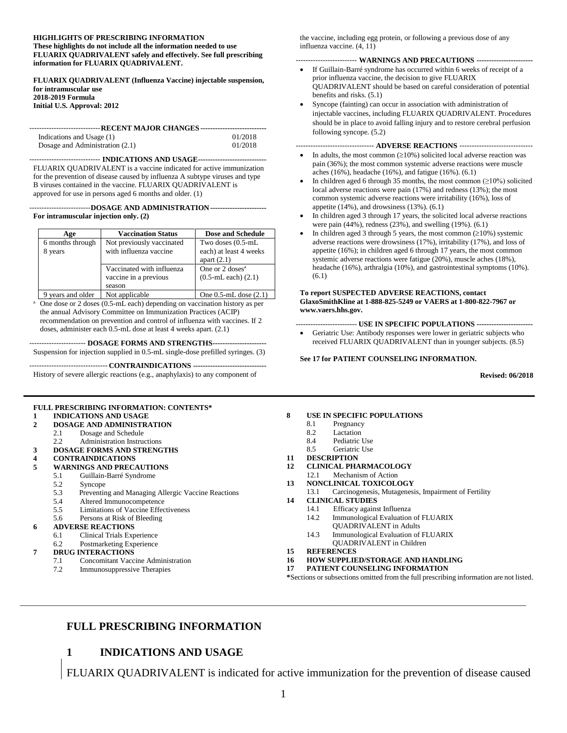#### **HIGHLIGHTS OF PRESCRIBING INFORMATION**

**These highlights do not include all the information needed to use FLUARIX QUADRIVALENT safely and effectively. See full prescribing information for FLUARIX QUADRIVALENT.**

**FLUARIX QUADRIVALENT (Influenza Vaccine) injectable suspension, for intramuscular use 2018-2019 Formula Initial U.S. Approval: 2012**

| ------------------------------ RECENT MAJOR CHANGES ---------------------------- |         |  |  |  |  |  |  |
|----------------------------------------------------------------------------------|---------|--|--|--|--|--|--|
|                                                                                  |         |  |  |  |  |  |  |
| Indications and Usage (1)                                                        | 01/2018 |  |  |  |  |  |  |
| Dosage and Administration (2.1)                                                  | 01/2018 |  |  |  |  |  |  |

----------------------------- **INDICATIONS AND USAGE----------------------------** FLUARIX QUADRIVALENT is a vaccine indicated for active immunization for the prevention of disease caused by influenza A subtype viruses and type B viruses contained in the vaccine. FLUARIX QUADRIVALENT is approved for use in persons aged 6 months and older. (1)

-------------------------**DOSAGE AND ADMINISTRATION----------------------- For intramuscular injection only. (2)**

| Age               | <b>Vaccination Status</b> | Dose and Schedule          |
|-------------------|---------------------------|----------------------------|
| 6 months through  | Not previously vaccinated | Two doses $(0.5-mL)$       |
| 8 years           | with influenza vaccine    | each) at least 4 weeks     |
|                   |                           | apart $(2.1)$              |
|                   | Vaccinated with influenza | One or $2 \text{ doses}^a$ |
|                   | vaccine in a previous     | $(0.5-mL each)$ $(2.1)$    |
|                   | season                    |                            |
| 9 years and older | Not applicable            | One $0.5$ -mL dose $(2.1)$ |

<sup>a</sup> One dose or 2 doses (0.5-mL each) depending on vaccination history as per the annual Advisory Committee on Immunization Practices (ACIP) recommendation on prevention and control of influenza with vaccines. If 2 doses, administer each 0.5-mL dose at least 4 weeks apart. (2.1)

----------------------- **DOSAGE FORMS AND STRENGTHS----------------------** Suspension for injection supplied in 0.5-mL single-dose prefilled syringes. (3)

-------------------------------- **CONTRAINDICATIONS ------------------------------**

History of severe allergic reactions (e.g., anaphylaxis) to any component of

#### **FULL PRESCRIBING INFORMATION: CONTENTS\***

#### **1 INDICATIONS AND USAGE**

- **2 DOSAGE AND ADMINISTRATION**
	- 2.1 Dosage and Schedule
	- 2.2 Administration Instructions
- **3 DOSAGE FORMS AND STRENGTHS**

# **4 CONTRAINDICATIONS**

- **5 WARNINGS AND PRECAUTIONS**
	- 5.1 Guillain-Barré Syndrome<br>5.2 Syncope
		- Syncope
		- 5.3 Preventing and Managing Allergic Vaccine Reactions
		- 5.4 Altered Immunocompetence
		- 5.5 Limitations of Vaccine Effectiveness<br>5.6 Persons at Risk of Bleeding
		- Persons at Risk of Bleeding

#### **6 ADVERSE REACTIONS**

- 6.1 Clinical Trials Experience
- 6.2 Postmarketing Experience

#### **7 DRUG INTERACTIONS**

- 7.1 Concomitant Vaccine Administration
- 7.2 Immunosuppressive Therapies

the vaccine, including egg protein, or following a previous dose of any influenza vaccine. (4, 11)

#### ------------------------- **WARNINGS AND PRECAUTIONS -----------------------**

- If Guillain-Barré syndrome has occurred within 6 weeks of receipt of a prior influenza vaccine, the decision to give FLUARIX QUADRIVALENT should be based on careful consideration of potential benefits and risks. (5.1)
- Syncope (fainting) can occur in association with administration of injectable vaccines, including FLUARIX QUADRIVALENT. Procedures should be in place to avoid falling injury and to restore cerebral perfusion following syncope. (5.2)

#### -------------------------------- **ADVERSE REACTIONS** ------------------------------

- In adults, the most common  $(\geq 10\%)$  solicited local adverse reaction was pain (36%); the most common systemic adverse reactions were muscle aches (16%), headache (16%), and fatigue (16%). (6.1)
- In children aged 6 through 35 months, the most common  $(\geq 10\%)$  solicited local adverse reactions were pain (17%) and redness (13%); the most common systemic adverse reactions were irritability (16%), loss of appetite (14%), and drowsiness (13%). (6.1)
- In children aged 3 through 17 years, the solicited local adverse reactions were pain (44%), redness (23%), and swelling (19%). (6.1)
- In children aged 3 through 5 years, the most common  $(210%)$  systemic adverse reactions were drowsiness (17%), irritability (17%), and loss of appetite (16%); in children aged 6 through 17 years, the most common systemic adverse reactions were fatigue (20%), muscle aches (18%), headache (16%), arthralgia (10%), and gastrointestinal symptoms (10%). (6.1)

#### **To report SUSPECTED ADVERSE REACTIONS, contact GlaxoSmithKline at 1-888-825-5249 or VAERS at 1-800-822-7967 or www.vaers.hhs.gov.**

------------------------- **USE IN SPECIFIC POPULATIONS -----------------------**

• Geriatric Use: Antibody responses were lower in geriatric subjects who received FLUARIX QUADRIVALENT than in younger subjects. (8.5)

#### **See 17 for PATIENT COUNSELING INFORMATION.**

**Revised: 06/2018**

- **8 USE IN SPECIFIC POPULATIONS**
	- 8.1 Pregnancy
	- 8.2 Lactation
	- 8.4 Pediatric Use
	- 8.5 Geriatric Use
- **11 DESCRIPTION**
- **12 CLINICAL PHARMACOLOGY**
- 12.1 Mechanism of Action
- **13 NONCLINICAL TOXICOLOGY**
	- 13.1 Carcinogenesis, Mutagenesis, Impairment of Fertility
- **14 CLINICAL STUDIES**
	- 14.1 Efficacy against Influenza<br>14.2 Immunological Evaluation
	- Immunological Evaluation of FLUARIX
	- QUADRIVALENT in Adults
	- 14.3 Immunological Evaluation of FLUARIX QUADRIVALENT in Children
- **15 REFERENCES**
- **16 HOW SUPPLIED/STORAGE AND HANDLING**
- **17 PATIENT COUNSELING INFORMATION**
- **\***Sections or subsections omitted from the full prescribing information are not listed.

#### **FULL PRESCRIBING INFORMATION**

#### **1 INDICATIONS AND USAGE**

FLUARIX QUADRIVALENT is indicated for active immunization for the prevention of disease caused

**\_\_\_\_\_\_\_\_\_\_\_\_\_\_\_\_\_\_\_\_\_\_\_\_\_\_\_\_\_\_\_\_\_\_\_\_\_\_\_\_\_\_\_\_\_\_\_\_\_\_\_\_\_\_\_\_\_\_\_\_\_\_\_\_\_\_\_\_\_\_\_\_\_\_\_\_\_\_\_\_\_\_**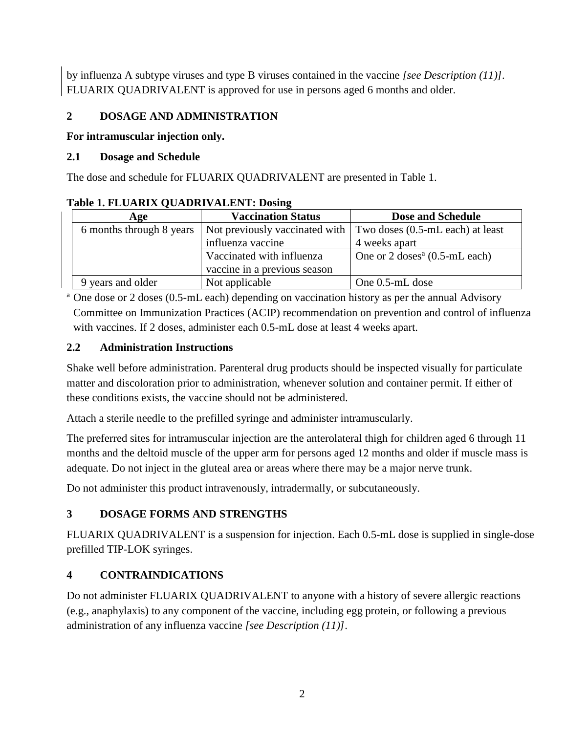by influenza A subtype viruses and type B viruses contained in the vaccine *[see Description (11)]*. FLUARIX QUADRIVALENT is approved for use in persons aged 6 months and older.

#### **2 DOSAGE AND ADMINISTRATION**

#### **For intramuscular injection only.**

#### **2.1 Dosage and Schedule**

The dose and schedule for FLUARIX QUADRIVALENT are presented in Table 1.

| Age                      | <b>Vaccination Status</b>    | Dose and Schedule                                                      |
|--------------------------|------------------------------|------------------------------------------------------------------------|
| 6 months through 8 years |                              | Not previously vaccinated with $\mid$ Two doses (0.5-mL each) at least |
|                          | influenza vaccine            | 4 weeks apart                                                          |
|                          | Vaccinated with influenza    | One or $2 \text{ doses}^a (0.5 \text{-} mL each)$                      |
|                          | vaccine in a previous season |                                                                        |
| vears and older          | Not applicable               | One 0.5-mL dose                                                        |

#### **Table 1. FLUARIX QUADRIVALENT: Dosing**

<sup>a</sup> One dose or 2 doses (0.5-mL each) depending on vaccination history as per the annual Advisory Committee on Immunization Practices (ACIP) recommendation on prevention and control of influenza with vaccines. If 2 doses, administer each 0.5-mL dose at least 4 weeks apart.

#### **2.2 Administration Instructions**

Shake well before administration. Parenteral drug products should be inspected visually for particulate matter and discoloration prior to administration, whenever solution and container permit. If either of these conditions exists, the vaccine should not be administered.

Attach a sterile needle to the prefilled syringe and administer intramuscularly.

The preferred sites for intramuscular injection are the anterolateral thigh for children aged 6 through 11 months and the deltoid muscle of the upper arm for persons aged 12 months and older if muscle mass is adequate. Do not inject in the gluteal area or areas where there may be a major nerve trunk.

Do not administer this product intravenously, intradermally, or subcutaneously.

#### **3 DOSAGE FORMS AND STRENGTHS**

FLUARIX QUADRIVALENT is a suspension for injection. Each 0.5-mL dose is supplied in single-dose prefilled TIP-LOK syringes.

#### **4 CONTRAINDICATIONS**

Do not administer FLUARIX QUADRIVALENT to anyone with a history of severe allergic reactions (e.g., anaphylaxis) to any component of the vaccine, including egg protein, or following a previous administration of any influenza vaccine *[see Description (11)]*.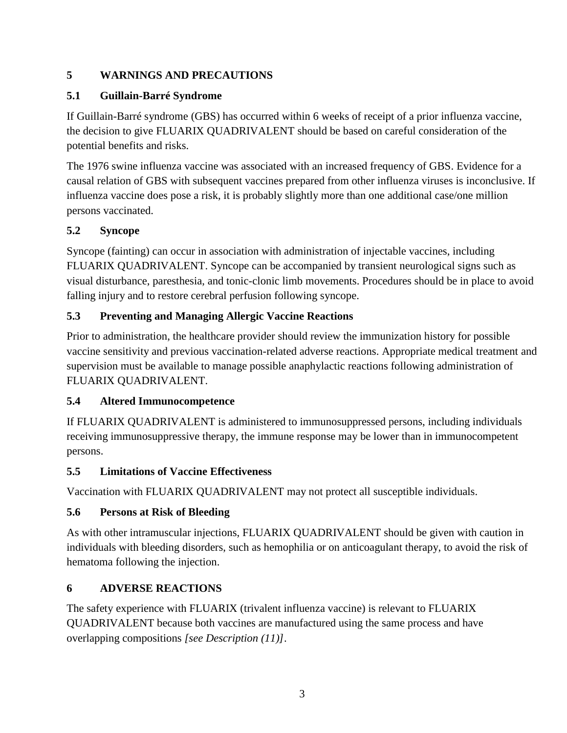## **5 WARNINGS AND PRECAUTIONS**

### **5.1 Guillain-Barré Syndrome**

If Guillain-Barré syndrome (GBS) has occurred within 6 weeks of receipt of a prior influenza vaccine, the decision to give FLUARIX QUADRIVALENT should be based on careful consideration of the potential benefits and risks.

The 1976 swine influenza vaccine was associated with an increased frequency of GBS. Evidence for a causal relation of GBS with subsequent vaccines prepared from other influenza viruses is inconclusive. If influenza vaccine does pose a risk, it is probably slightly more than one additional case/one million persons vaccinated.

## **5.2 Syncope**

Syncope (fainting) can occur in association with administration of injectable vaccines, including FLUARIX QUADRIVALENT. Syncope can be accompanied by transient neurological signs such as visual disturbance, paresthesia, and tonic-clonic limb movements. Procedures should be in place to avoid falling injury and to restore cerebral perfusion following syncope.

## **5.3 Preventing and Managing Allergic Vaccine Reactions**

Prior to administration, the healthcare provider should review the immunization history for possible vaccine sensitivity and previous vaccination-related adverse reactions. Appropriate medical treatment and supervision must be available to manage possible anaphylactic reactions following administration of FLUARIX QUADRIVALENT.

### **5.4 Altered Immunocompetence**

If FLUARIX QUADRIVALENT is administered to immunosuppressed persons, including individuals receiving immunosuppressive therapy, the immune response may be lower than in immunocompetent persons.

### **5.5 Limitations of Vaccine Effectiveness**

Vaccination with FLUARIX QUADRIVALENT may not protect all susceptible individuals.

## **5.6 Persons at Risk of Bleeding**

As with other intramuscular injections, FLUARIX QUADRIVALENT should be given with caution in individuals with bleeding disorders, such as hemophilia or on anticoagulant therapy, to avoid the risk of hematoma following the injection.

## **6 ADVERSE REACTIONS**

The safety experience with FLUARIX (trivalent influenza vaccine) is relevant to FLUARIX QUADRIVALENT because both vaccines are manufactured using the same process and have overlapping compositions *[see Description (11)]*.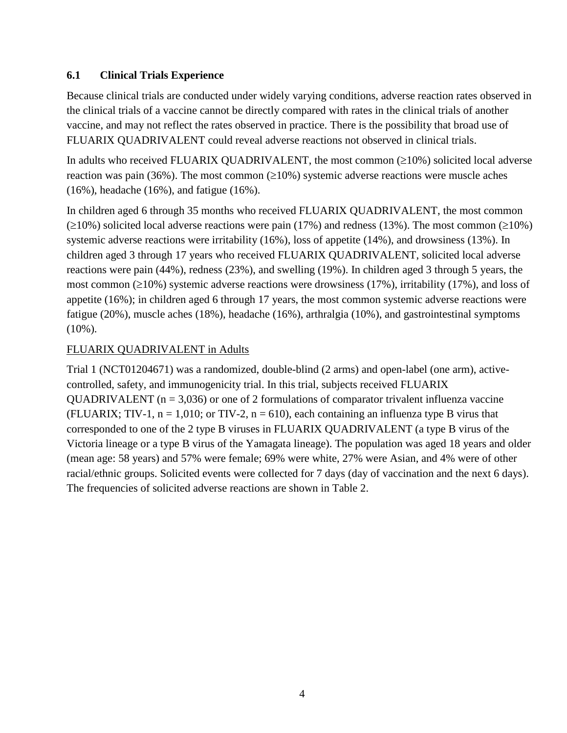#### **6.1 Clinical Trials Experience**

Because clinical trials are conducted under widely varying conditions, adverse reaction rates observed in the clinical trials of a vaccine cannot be directly compared with rates in the clinical trials of another vaccine, and may not reflect the rates observed in practice. There is the possibility that broad use of FLUARIX QUADRIVALENT could reveal adverse reactions not observed in clinical trials.

In adults who received FLUARIX QUADRIVALENT, the most common  $(\geq 10\%)$  solicited local adverse reaction was pain (36%). The most common ( $\geq$ 10%) systemic adverse reactions were muscle aches (16%), headache (16%), and fatigue (16%).

In children aged 6 through 35 months who received FLUARIX QUADRIVALENT, the most common  $(210\%)$  solicited local adverse reactions were pain (17%) and redness (13%). The most common ( $\geq$ 10%) systemic adverse reactions were irritability (16%), loss of appetite (14%), and drowsiness (13%). In children aged 3 through 17 years who received FLUARIX QUADRIVALENT, solicited local adverse reactions were pain (44%), redness (23%), and swelling (19%). In children aged 3 through 5 years, the most common  $(\geq 10\%)$  systemic adverse reactions were drowsiness (17%), irritability (17%), and loss of appetite (16%); in children aged 6 through 17 years, the most common systemic adverse reactions were fatigue (20%), muscle aches (18%), headache (16%), arthralgia (10%), and gastrointestinal symptoms  $(10\%)$ .

#### FLUARIX QUADRIVALENT in Adults

Trial 1 (NCT01204671) was a randomized, double-blind (2 arms) and open-label (one arm), activecontrolled, safety, and immunogenicity trial. In this trial, subjects received FLUARIX QUADRIVALENT ( $n = 3,036$ ) or one of 2 formulations of comparator trivalent influenza vaccine (FLUARIX; TIV-1,  $n = 1,010$ ; or TIV-2,  $n = 610$ ), each containing an influenza type B virus that corresponded to one of the 2 type B viruses in FLUARIX QUADRIVALENT (a type B virus of the Victoria lineage or a type B virus of the Yamagata lineage). The population was aged 18 years and older (mean age: 58 years) and 57% were female; 69% were white, 27% were Asian, and 4% were of other racial/ethnic groups. Solicited events were collected for 7 days (day of vaccination and the next 6 days). The frequencies of solicited adverse reactions are shown in Table 2.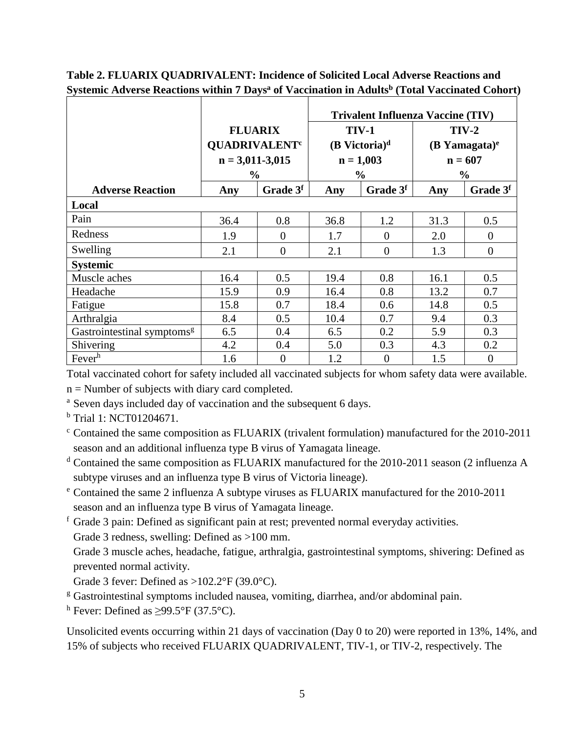|                                        |                                                   |                      | <b>Trivalent Influenza Vaccine (TIV)</b> |                                             |                                        |                  |  |
|----------------------------------------|---------------------------------------------------|----------------------|------------------------------------------|---------------------------------------------|----------------------------------------|------------------|--|
|                                        | <b>FLUARIX</b><br><b>QUADRIVALENT<sup>c</sup></b> |                      |                                          | <b>TIV-1</b><br>$(B$ Victoria) <sup>d</sup> | $TIV-2$<br>$(B$ Yamagata) <sup>e</sup> |                  |  |
|                                        | $n = 3,011-3,015$                                 |                      |                                          | $n = 1,003$                                 | $n = 607$                              |                  |  |
| <b>Adverse Reaction</b>                | $\%$<br>Any                                       | Grade 3 <sup>f</sup> | Any                                      | $\frac{0}{0}$<br>Grade 3f                   | $\frac{0}{0}$<br>Grade 3f<br>Any       |                  |  |
| Local                                  |                                                   |                      |                                          |                                             |                                        |                  |  |
| Pain                                   | 36.4                                              | 0.8                  | 36.8                                     | 1.2                                         | 31.3                                   | 0.5              |  |
| Redness                                | 1.9                                               | $\Omega$             | 1.7                                      | $\Omega$                                    | 2.0                                    | $\theta$         |  |
| Swelling                               | 2.1                                               | $\theta$             | 2.1                                      | $\Omega$                                    | 1.3                                    | $\boldsymbol{0}$ |  |
| <b>Systemic</b>                        |                                                   |                      |                                          |                                             |                                        |                  |  |
| Muscle aches                           | 16.4                                              | 0.5                  | 19.4                                     | 0.8                                         | 16.1                                   | 0.5              |  |
| Headache                               | 15.9                                              | 0.9                  | 16.4                                     | 0.8                                         | 13.2                                   | 0.7              |  |
| Fatigue                                | 15.8                                              | 0.7                  | 18.4                                     | 0.6                                         | 14.8                                   | 0.5              |  |
| Arthralgia                             | 8.4                                               | 0.5                  | 10.4                                     | 0.7                                         | 9.4                                    | 0.3              |  |
| Gastrointestinal symptoms <sup>g</sup> | 6.5                                               | 0.4                  | 6.5                                      | 0.2                                         | 5.9                                    | 0.3              |  |
| Shivering                              | 4.2                                               | 0.4                  | 5.0                                      | 0.3                                         | 4.3                                    | 0.2              |  |
| Fever <sup>h</sup>                     | 1.6                                               | $\overline{0}$       | 1.2                                      | $\overline{0}$                              | 1.5                                    | $\overline{0}$   |  |

**Table 2. FLUARIX QUADRIVALENT: Incidence of Solicited Local Adverse Reactions and Systemic Adverse Reactions within 7 Days<sup>a</sup> of Vaccination in Adults<sup>b</sup> (Total Vaccinated Cohort)**

Total vaccinated cohort for safety included all vaccinated subjects for whom safety data were available.  $n =$  Number of subjects with diary card completed.

- <sup>a</sup> Seven days included day of vaccination and the subsequent 6 days.
- <sup>b</sup> Trial 1: NCT01204671.
- $\textdegree$  Contained the same composition as FLUARIX (trivalent formulation) manufactured for the 2010-2011 season and an additional influenza type B virus of Yamagata lineage.
- <sup>d</sup> Contained the same composition as FLUARIX manufactured for the 2010-2011 season (2 influenza A subtype viruses and an influenza type B virus of Victoria lineage).
- <sup>e</sup> Contained the same 2 influenza A subtype viruses as FLUARIX manufactured for the 2010-2011 season and an influenza type B virus of Yamagata lineage.
- <sup>f</sup> Grade 3 pain: Defined as significant pain at rest; prevented normal everyday activities.
- Grade 3 redness, swelling: Defined as >100 mm.
- Grade 3 muscle aches, headache, fatigue, arthralgia, gastrointestinal symptoms, shivering: Defined as prevented normal activity.
- Grade 3 fever: Defined as  $>102.2$ °F (39.0°C).
- $\frac{g}{g}$  Gastrointestinal symptoms included nausea, vomiting, diarrhea, and/or abdominal pain.
- <sup>h</sup> Fever: Defined as  $>99.5^{\circ}$ F (37.5°C).

Unsolicited events occurring within 21 days of vaccination (Day 0 to 20) were reported in 13%, 14%, and 15% of subjects who received FLUARIX QUADRIVALENT, TIV-1, or TIV-2, respectively. The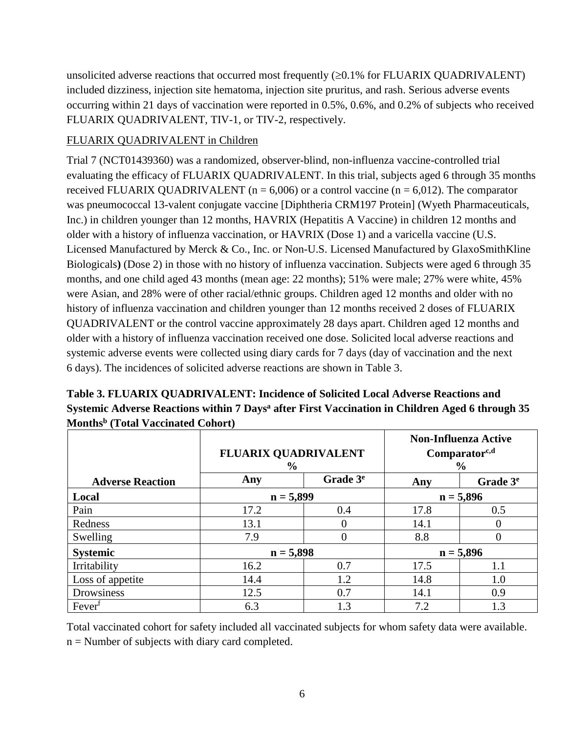unsolicited adverse reactions that occurred most frequently  $(\geq 0.1\%$  for FLUARIX QUADRIVALENT) included dizziness, injection site hematoma, injection site pruritus, and rash. Serious adverse events occurring within 21 days of vaccination were reported in 0.5%, 0.6%, and 0.2% of subjects who received FLUARIX QUADRIVALENT, TIV-1, or TIV-2, respectively.

#### FLUARIX QUADRIVALENT in Children

Trial 7 (NCT01439360) was a randomized, observer-blind, non-influenza vaccine-controlled trial evaluating the efficacy of FLUARIX QUADRIVALENT. In this trial, subjects aged 6 through 35 months received FLUARIX QUADRIVALENT ( $n = 6,006$ ) or a control vaccine ( $n = 6,012$ ). The comparator was pneumococcal 13-valent conjugate vaccine [Diphtheria CRM197 Protein] (Wyeth Pharmaceuticals, Inc.) in children younger than 12 months, HAVRIX (Hepatitis A Vaccine) in children 12 months and older with a history of influenza vaccination, or HAVRIX (Dose 1) and a varicella vaccine (U.S. Licensed Manufactured by Merck & Co., Inc. or Non-U.S. Licensed Manufactured by GlaxoSmithKline Biologicals**)** (Dose 2) in those with no history of influenza vaccination. Subjects were aged 6 through 35 months, and one child aged 43 months (mean age: 22 months); 51% were male; 27% were white, 45% were Asian, and 28% were of other racial/ethnic groups. Children aged 12 months and older with no history of influenza vaccination and children younger than 12 months received 2 doses of FLUARIX QUADRIVALENT or the control vaccine approximately 28 days apart. Children aged 12 months and older with a history of influenza vaccination received one dose. Solicited local adverse reactions and systemic adverse events were collected using diary cards for 7 days (day of vaccination and the next 6 days). The incidences of solicited adverse reactions are shown in Table 3.

|                         | <b>FLUARIX QUADRIVALENT</b><br>$\frac{0}{0}$ |                      |      | <b>Non-Influenza Active</b><br>$Comparator^{c,d}$<br>$\frac{0}{0}$ |
|-------------------------|----------------------------------------------|----------------------|------|--------------------------------------------------------------------|
| <b>Adverse Reaction</b> | Any                                          | Grade 3 <sup>e</sup> | Any  | Grade 3 <sup>e</sup>                                               |
| Local                   | $n = 5,899$                                  |                      |      | $n = 5,896$                                                        |
| Pain                    | 17.2                                         | 0.4                  | 17.8 | 0.5                                                                |
| Redness                 | 13.1                                         | 0                    | 14.1 | $\Omega$                                                           |
| Swelling                | 7.9                                          | $\theta$             | 8.8  | $\theta$                                                           |
| <b>Systemic</b>         | $n = 5,898$                                  |                      |      | $n = 5,896$                                                        |
| Irritability            | 16.2                                         | 0.7                  | 17.5 | 1.1                                                                |
| Loss of appetite        | 14.4                                         | 1.2                  | 14.8 | 1.0                                                                |
| Drowsiness              | 12.5                                         | 0.7                  | 14.1 | 0.9                                                                |
| Fever <sup>f</sup>      | 6.3                                          | 1.3                  | 7.2  | 1.3                                                                |

**Table 3. FLUARIX QUADRIVALENT: Incidence of Solicited Local Adverse Reactions and Systemic Adverse Reactions within 7 Days<sup>a</sup> after First Vaccination in Children Aged 6 through 35 Months<sup>b</sup> (Total Vaccinated Cohort)**

Total vaccinated cohort for safety included all vaccinated subjects for whom safety data were available.  $n =$  Number of subjects with diary card completed.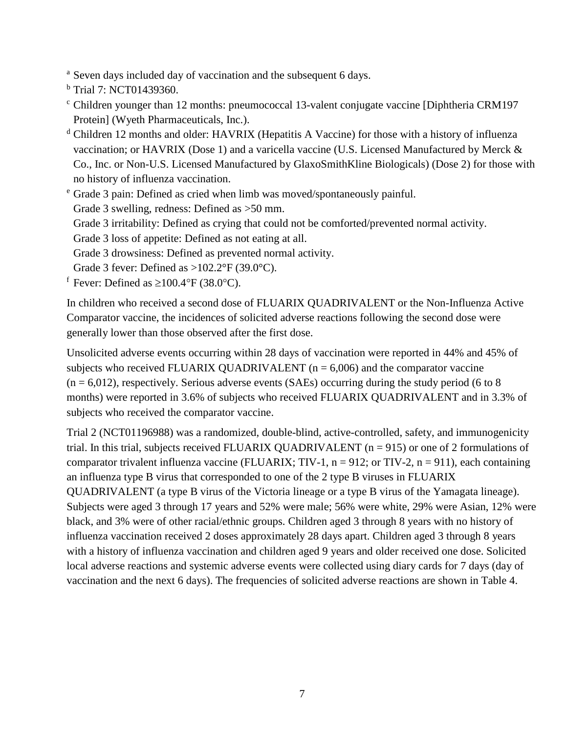<sup>a</sup> Seven days included day of vaccination and the subsequent 6 days.

<sup>b</sup> Trial 7: NCT01439360.

- <sup>c</sup> Children younger than 12 months: pneumococcal 13-valent conjugate vaccine [Diphtheria CRM197 Protein] (Wyeth Pharmaceuticals, Inc.).
- <sup>d</sup> Children 12 months and older: HAVRIX (Hepatitis A Vaccine) for those with a history of influenza vaccination; or HAVRIX (Dose 1) and a varicella vaccine (U.S. Licensed Manufactured by Merck & Co., Inc. or Non-U.S. Licensed Manufactured by GlaxoSmithKline Biologicals) (Dose 2) for those with no history of influenza vaccination.

<sup>e</sup> Grade 3 pain: Defined as cried when limb was moved/spontaneously painful. Grade 3 swelling, redness: Defined as >50 mm. Grade 3 irritability: Defined as crying that could not be comforted/prevented normal activity. Grade 3 loss of appetite: Defined as not eating at all. Grade 3 drowsiness: Defined as prevented normal activity. Grade 3 fever: Defined as  $>102.2^{\circ}F(39.0^{\circ}C)$ .

<sup>f</sup> Fever: Defined as  $\geq 100.4$  °F (38.0 °C).

In children who received a second dose of FLUARIX QUADRIVALENT or the Non-Influenza Active Comparator vaccine, the incidences of solicited adverse reactions following the second dose were generally lower than those observed after the first dose.

Unsolicited adverse events occurring within 28 days of vaccination were reported in 44% and 45% of subjects who received FLUARIX QUADRIVALENT ( $n = 6,006$ ) and the comparator vaccine  $(n = 6.012)$ , respectively. Serious adverse events (SAEs) occurring during the study period (6 to 8 months) were reported in 3.6% of subjects who received FLUARIX QUADRIVALENT and in 3.3% of subjects who received the comparator vaccine.

Trial 2 (NCT01196988) was a randomized, double-blind, active-controlled, safety, and immunogenicity trial. In this trial, subjects received FLUARIX QUADRIVALENT (n = 915) or one of 2 formulations of comparator trivalent influenza vaccine (FLUARIX; TIV-1,  $n = 912$ ; or TIV-2,  $n = 911$ ), each containing an influenza type B virus that corresponded to one of the 2 type B viruses in FLUARIX QUADRIVALENT (a type B virus of the Victoria lineage or a type B virus of the Yamagata lineage). Subjects were aged 3 through 17 years and 52% were male; 56% were white, 29% were Asian, 12% were black, and 3% were of other racial/ethnic groups. Children aged 3 through 8 years with no history of influenza vaccination received 2 doses approximately 28 days apart. Children aged 3 through 8 years with a history of influenza vaccination and children aged 9 years and older received one dose. Solicited local adverse reactions and systemic adverse events were collected using diary cards for 7 days (day of vaccination and the next 6 days). The frequencies of solicited adverse reactions are shown in Table 4.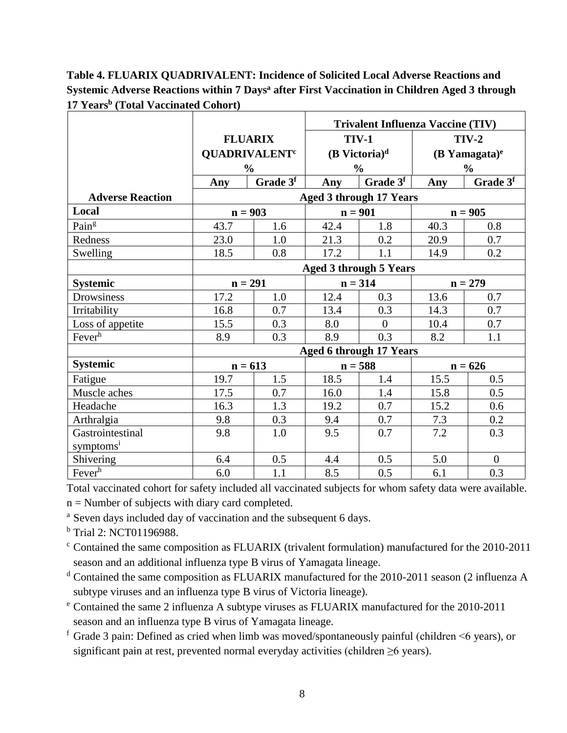**Table 4. FLUARIX QUADRIVALENT: Incidence of Solicited Local Adverse Reactions and Systemic Adverse Reactions within 7 Days<sup>a</sup> after First Vaccination in Children Aged 3 through 17 Years<sup>b</sup> (Total Vaccinated Cohort)**

|                         |                               |                                 |           | <b>Trivalent Influenza Vaccine (TIV)</b> |           |                             |  |
|-------------------------|-------------------------------|---------------------------------|-----------|------------------------------------------|-----------|-----------------------------|--|
|                         |                               | <b>FLUARIX</b>                  |           | TIV-1                                    | $TIV-2$   |                             |  |
|                         |                               | <b>QUADRIVALENT<sup>c</sup></b> |           | $(B$ Victoria) <sup>d</sup>              |           | $(B$ Yamagata) <sup>e</sup> |  |
|                         |                               | $\frac{0}{0}$                   |           | $\frac{0}{0}$                            |           | $\frac{0}{0}$               |  |
|                         | Any                           | Grade 3f                        | Any       | Grade 3f                                 | Any       | Grade 3 <sup>f</sup>        |  |
| <b>Adverse Reaction</b> |                               |                                 |           | <b>Aged 3 through 17 Years</b>           |           |                             |  |
| Local                   |                               | $n = 903$                       | $n = 901$ |                                          |           | $n = 905$                   |  |
| Paing                   | 43.7                          | 1.6                             | 42.4      | 1.8                                      | 40.3      | 0.8                         |  |
| Redness                 | 23.0                          | 1.0                             | 21.3      | 0.2                                      | 20.9      | 0.7                         |  |
| Swelling                | 18.5                          | 0.8                             | 17.2      | 1.1                                      | 14.9      | 0.2                         |  |
|                         | <b>Aged 3 through 5 Years</b> |                                 |           |                                          |           |                             |  |
| <b>Systemic</b>         | $n = 291$                     |                                 |           | $n = 314$                                | $n = 279$ |                             |  |
| Drowsiness              | 17.2                          | 1.0                             | 12.4      | 0.3                                      | 13.6      | 0.7                         |  |
| Irritability            | 16.8                          | 0.7                             | 13.4      | 0.3                                      | 14.3      | 0.7                         |  |
| Loss of appetite        | 15.5                          | 0.3                             | 8.0       | $\theta$                                 | 10.4      | 0.7                         |  |
| Fever <sup>h</sup>      | 8.9                           | 0.3                             | 8.9       | 0.3                                      | 8.2       | 1.1                         |  |
|                         |                               |                                 |           | <b>Aged 6 through 17 Years</b>           |           |                             |  |
| <b>Systemic</b>         |                               | $n = 613$                       |           | $n = 588$                                | $n = 626$ |                             |  |
| Fatigue                 | 19.7                          | 1.5                             | 18.5      | 1.4                                      | 15.5      | 0.5                         |  |
| Muscle aches            | 17.5                          | 0.7                             | 16.0      | 1.4                                      | 15.8      | 0.5                         |  |
| Headache                | 16.3                          | 1.3                             | 19.2      | 0.7                                      | 15.2      | 0.6                         |  |
| Arthralgia              | 9.8                           | 0.3                             | 9.4       | 0.7                                      | 7.3       | 0.2                         |  |
| Gastrointestinal        | 9.8                           | 1.0                             | 9.5       | 0.7                                      | 7.2       | 0.3                         |  |
| symptoms <sup>i</sup>   |                               |                                 |           |                                          |           |                             |  |
| Shivering               | 6.4                           | 0.5                             | 4.4       | 0.5                                      | 5.0       | $\overline{0}$              |  |
| Fever <sup>h</sup>      | 6.0                           | 1.1                             | 8.5       | 0.5                                      | 6.1       | 0.3                         |  |

Total vaccinated cohort for safety included all vaccinated subjects for whom safety data were available.

 $n =$  Number of subjects with diary card completed.

- <sup>a</sup> Seven days included day of vaccination and the subsequent 6 days.
- <sup>b</sup> Trial 2: NCT01196988.
- <sup>c</sup> Contained the same composition as FLUARIX (trivalent formulation) manufactured for the 2010-2011 season and an additional influenza type B virus of Yamagata lineage.
- <sup>d</sup> Contained the same composition as FLUARIX manufactured for the 2010-2011 season (2 influenza A subtype viruses and an influenza type B virus of Victoria lineage).
- <sup>e</sup> Contained the same 2 influenza A subtype viruses as FLUARIX manufactured for the 2010-2011 season and an influenza type B virus of Yamagata lineage.
- $f$  Grade 3 pain: Defined as cried when limb was moved/spontaneously painful (children  $\leq 6$  years), or significant pain at rest, prevented normal everyday activities (children  $\geq 6$  years).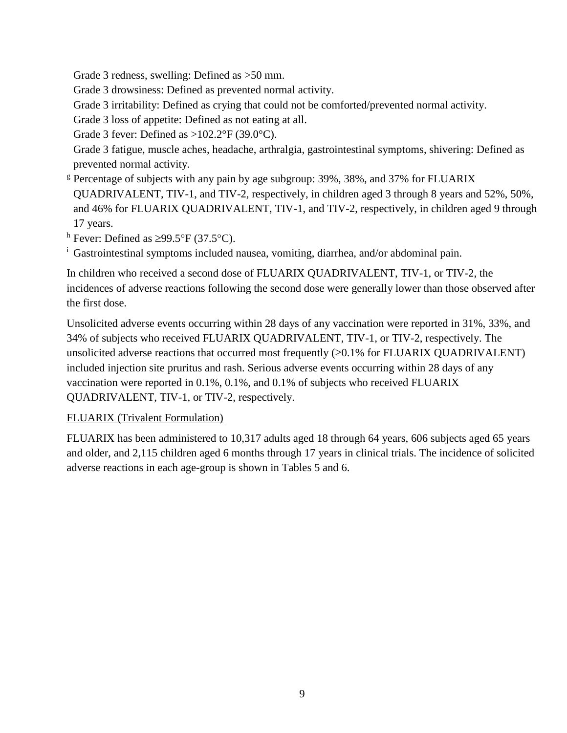Grade 3 redness, swelling: Defined as >50 mm.

Grade 3 drowsiness: Defined as prevented normal activity.

Grade 3 irritability: Defined as crying that could not be comforted/prevented normal activity.

Grade 3 loss of appetite: Defined as not eating at all.

Grade 3 fever: Defined as  $>102.2$ °F (39.0°C).

Grade 3 fatigue, muscle aches, headache, arthralgia, gastrointestinal symptoms, shivering: Defined as prevented normal activity.

<sup>g</sup> Percentage of subjects with any pain by age subgroup: 39%, 38%, and 37% for FLUARIX QUADRIVALENT, TIV-1, and TIV-2, respectively, in children aged 3 through 8 years and 52%, 50%, and 46% for FLUARIX QUADRIVALENT, TIV-1, and TIV-2, respectively, in children aged 9 through 17 years.

h Fever: Defined as  $\geq$ 99.5°F (37.5°C).

<sup>i</sup> Gastrointestinal symptoms included nausea, vomiting, diarrhea, and/or abdominal pain.

In children who received a second dose of FLUARIX QUADRIVALENT, TIV-1, or TIV-2, the incidences of adverse reactions following the second dose were generally lower than those observed after the first dose.

Unsolicited adverse events occurring within 28 days of any vaccination were reported in 31%, 33%, and 34% of subjects who received FLUARIX QUADRIVALENT, TIV-1, or TIV-2, respectively. The unsolicited adverse reactions that occurred most frequently  $(\geq 0.1\%$  for FLUARIX QUADRIVALENT) included injection site pruritus and rash. Serious adverse events occurring within 28 days of any vaccination were reported in 0.1%, 0.1%, and 0.1% of subjects who received FLUARIX QUADRIVALENT, TIV-1, or TIV-2, respectively.

### FLUARIX (Trivalent Formulation)

FLUARIX has been administered to 10,317 adults aged 18 through 64 years, 606 subjects aged 65 years and older, and 2,115 children aged 6 months through 17 years in clinical trials. The incidence of solicited adverse reactions in each age-group is shown in Tables 5 and 6.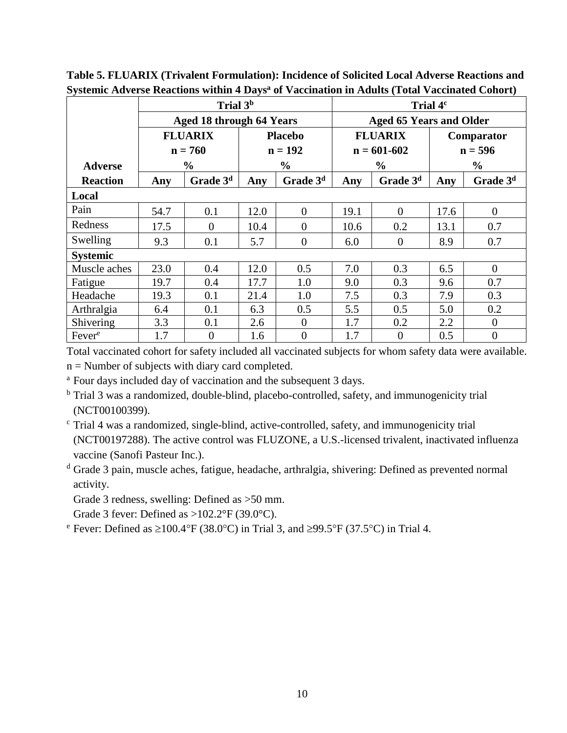|                    | Trial 3 <sup>b</sup> |                                 |      |                |      | Trial 4 <sup>c</sup> |                                |                      |  |
|--------------------|----------------------|---------------------------------|------|----------------|------|----------------------|--------------------------------|----------------------|--|
|                    |                      | <b>Aged 18 through 64 Years</b> |      |                |      |                      | <b>Aged 65 Years and Older</b> |                      |  |
|                    |                      | <b>FLUARIX</b>                  |      | <b>Placebo</b> |      | <b>FLUARIX</b>       | Comparator                     |                      |  |
|                    |                      | $n = 760$                       |      | $n = 192$      |      | $n = 601 - 602$      |                                | $n = 596$            |  |
| <b>Adverse</b>     |                      | $\frac{6}{9}$                   |      | $\frac{6}{9}$  |      | $\frac{6}{6}$        |                                | $\frac{6}{9}$        |  |
| <b>Reaction</b>    | Any                  | Grade 3 <sup>d</sup>            | Any  | Grade $3d$     | Any  | Grade 3 <sup>d</sup> | Any                            | Grade 3 <sup>d</sup> |  |
| Local              |                      |                                 |      |                |      |                      |                                |                      |  |
| Pain               | 54.7                 | 0.1                             | 12.0 | $\overline{0}$ | 19.1 | $\Omega$             | 17.6                           | $\Omega$             |  |
| Redness            | 17.5                 | $\Omega$                        | 10.4 | $\overline{0}$ | 10.6 | 0.2                  | 13.1                           | 0.7                  |  |
| Swelling           | 9.3                  | 0.1                             | 5.7  | $\overline{0}$ | 6.0  | $\theta$             | 8.9                            | 0.7                  |  |
| <b>Systemic</b>    |                      |                                 |      |                |      |                      |                                |                      |  |
| Muscle aches       | 23.0                 | 0.4                             | 12.0 | 0.5            | 7.0  | 0.3                  | 6.5                            | $\overline{0}$       |  |
| Fatigue            | 19.7                 | 0.4                             | 17.7 | 1.0            | 9.0  | 0.3                  | 9.6                            | 0.7                  |  |
| Headache           | 19.3                 | 0.1                             | 21.4 | 1.0            | 7.5  | 0.3                  | 7.9                            | 0.3                  |  |
| Arthralgia         | 6.4                  | 0.1                             | 6.3  | 0.5            | 5.5  | 0.5                  | 5.0                            | 0.2                  |  |
| Shivering          | 3.3                  | 0.1                             | 2.6  | $\theta$       | 1.7  | 0.2                  | 2.2                            | $\theta$             |  |
| Fever <sup>e</sup> | 1.7                  | $\overline{0}$                  | 1.6  | $\overline{0}$ | 1.7  | $\theta$             | 0.5                            | $\overline{0}$       |  |

**Table 5. FLUARIX (Trivalent Formulation): Incidence of Solicited Local Adverse Reactions and Systemic Adverse Reactions within 4 Days<sup>a</sup> of Vaccination in Adults (Total Vaccinated Cohort)**

Total vaccinated cohort for safety included all vaccinated subjects for whom safety data were available.

n = Number of subjects with diary card completed.

<sup>a</sup> Four days included day of vaccination and the subsequent 3 days.

<sup>b</sup> Trial 3 was a randomized, double-blind, placebo-controlled, safety, and immunogenicity trial (NCT00100399).

<sup>c</sup> Trial 4 was a randomized, single-blind, active-controlled, safety, and immunogenicity trial (NCT00197288). The active control was FLUZONE, a U.S.-licensed trivalent, inactivated influenza vaccine (Sanofi Pasteur Inc.).

<sup>d</sup> Grade 3 pain, muscle aches, fatigue, headache, arthralgia, shivering: Defined as prevented normal activity.

Grade 3 redness, swelling: Defined as >50 mm.

Grade 3 fever: Defined as  $>102.2^{\circ}F(39.0^{\circ}C)$ .

<sup>e</sup> Fever: Defined as  $\geq 100.4$  °F (38.0 °C) in Trial 3, and  $\geq 99.5$  °F (37.5 °C) in Trial 4.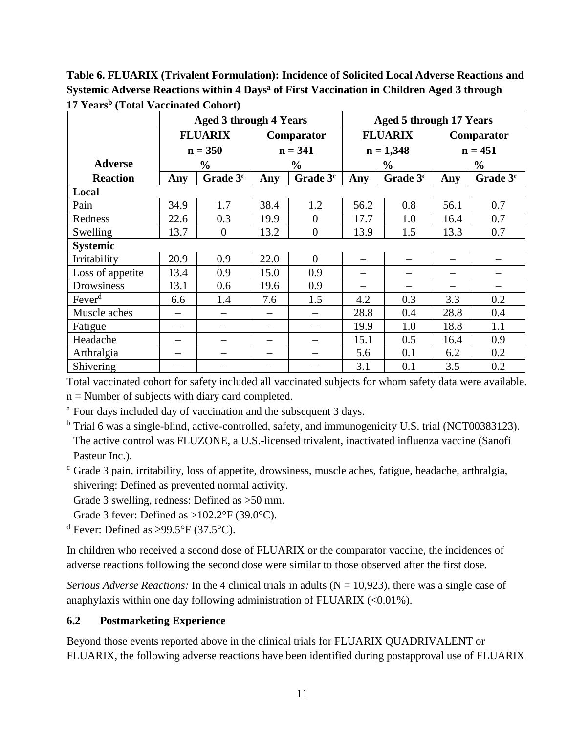**Table 6. FLUARIX (Trivalent Formulation): Incidence of Solicited Local Adverse Reactions and Systemic Adverse Reactions within 4 Days<sup>a</sup> of First Vaccination in Children Aged 3 through 17 Years<sup>b</sup> (Total Vaccinated Cohort)**

|                    | <b>Aged 3 through 4 Years</b> |                      |      | <b>Aged 5 through 17 Years</b> |                |                      |               |                      |
|--------------------|-------------------------------|----------------------|------|--------------------------------|----------------|----------------------|---------------|----------------------|
|                    |                               | <b>FLUARIX</b>       |      | Comparator                     | <b>FLUARIX</b> |                      | Comparator    |                      |
|                    |                               | $n = 350$            |      | $n = 341$                      |                | $n = 1,348$          | $n = 451$     |                      |
| <b>Adverse</b>     |                               | $\frac{0}{0}$        |      | $\frac{6}{6}$                  | $\frac{0}{0}$  |                      | $\frac{6}{6}$ |                      |
| <b>Reaction</b>    | Any                           | Grade 3 <sup>c</sup> | Any  | Grade 3 <sup>c</sup>           | Any            | Grade 3 <sup>c</sup> | Any           | Grade 3 <sup>c</sup> |
| Local              |                               |                      |      |                                |                |                      |               |                      |
| Pain               | 34.9                          | 1.7                  | 38.4 | 1.2                            | 56.2           | 0.8                  | 56.1          | 0.7                  |
| Redness            | 22.6                          | 0.3                  | 19.9 | $\overline{0}$                 | 17.7           | 1.0                  | 16.4          | 0.7                  |
| Swelling           | 13.7                          | $\overline{0}$       | 13.2 | $\overline{0}$                 | 13.9           | 1.5                  | 13.3          | 0.7                  |
| <b>Systemic</b>    |                               |                      |      |                                |                |                      |               |                      |
| Irritability       | 20.9                          | 0.9                  | 22.0 | $\theta$                       | —              |                      |               |                      |
| Loss of appetite   | 13.4                          | 0.9                  | 15.0 | 0.9                            |                |                      |               |                      |
| Drowsiness         | 13.1                          | 0.6                  | 19.6 | 0.9                            |                |                      |               |                      |
| Fever <sup>d</sup> | 6.6                           | 1.4                  | 7.6  | 1.5                            | 4.2            | 0.3                  | 3.3           | 0.2                  |
| Muscle aches       |                               |                      |      |                                | 28.8           | 0.4                  | 28.8          | 0.4                  |
| Fatigue            |                               |                      |      |                                | 19.9           | 1.0                  | 18.8          | 1.1                  |
| Headache           |                               |                      |      |                                | 15.1           | 0.5                  | 16.4          | 0.9                  |
| Arthralgia         |                               |                      |      |                                | 5.6            | 0.1                  | 6.2           | 0.2                  |
| Shivering          |                               |                      |      |                                | 3.1            | 0.1                  | 3.5           | 0.2                  |

Total vaccinated cohort for safety included all vaccinated subjects for whom safety data were available. n = Number of subjects with diary card completed.

<sup>a</sup> Four days included day of vaccination and the subsequent 3 days.

<sup>b</sup> Trial 6 was a single-blind, active-controlled, safety, and immunogenicity U.S. trial (NCT00383123). The active control was FLUZONE, a U.S.-licensed trivalent, inactivated influenza vaccine (Sanofi Pasteur Inc.).

<sup>c</sup> Grade 3 pain, irritability, loss of appetite, drowsiness, muscle aches, fatigue, headache, arthralgia, shivering: Defined as prevented normal activity.

Grade 3 swelling, redness: Defined as >50 mm.

Grade 3 fever: Defined as  $>102.2^{\circ}F(39.0^{\circ}C)$ .

<sup>d</sup> Fever: Defined as  $\geq$ 99.5°F (37.5°C).

In children who received a second dose of FLUARIX or the comparator vaccine, the incidences of adverse reactions following the second dose were similar to those observed after the first dose.

*Serious Adverse Reactions:* In the 4 clinical trials in adults ( $N = 10,923$ ), there was a single case of anaphylaxis within one day following administration of FLUARIX (<0.01%).

### **6.2 Postmarketing Experience**

Beyond those events reported above in the clinical trials for FLUARIX QUADRIVALENT or FLUARIX, the following adverse reactions have been identified during postapproval use of FLUARIX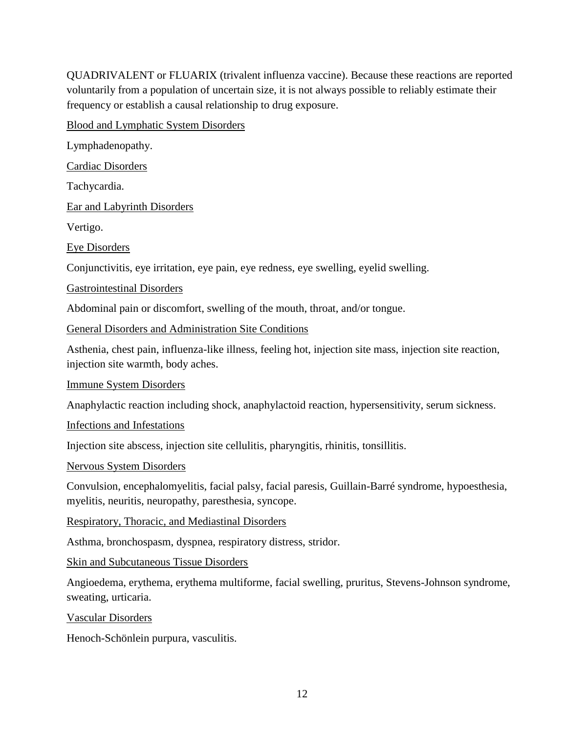QUADRIVALENT or FLUARIX (trivalent influenza vaccine). Because these reactions are reported voluntarily from a population of uncertain size, it is not always possible to reliably estimate their frequency or establish a causal relationship to drug exposure.

Blood and Lymphatic System Disorders

Lymphadenopathy.

Cardiac Disorders

Tachycardia.

Ear and Labyrinth Disorders

Vertigo.

Eye Disorders

Conjunctivitis, eye irritation, eye pain, eye redness, eye swelling, eyelid swelling.

Gastrointestinal Disorders

Abdominal pain or discomfort, swelling of the mouth, throat, and/or tongue.

General Disorders and Administration Site Conditions

Asthenia, chest pain, influenza-like illness, feeling hot, injection site mass, injection site reaction, injection site warmth, body aches.

Immune System Disorders

Anaphylactic reaction including shock, anaphylactoid reaction, hypersensitivity, serum sickness.

Infections and Infestations

Injection site abscess, injection site cellulitis, pharyngitis, rhinitis, tonsillitis.

Nervous System Disorders

Convulsion, encephalomyelitis, facial palsy, facial paresis, Guillain-Barré syndrome, hypoesthesia, myelitis, neuritis, neuropathy, paresthesia, syncope.

Respiratory, Thoracic, and Mediastinal Disorders

Asthma, bronchospasm, dyspnea, respiratory distress, stridor.

Skin and Subcutaneous Tissue Disorders

Angioedema, erythema, erythema multiforme, facial swelling, pruritus, Stevens-Johnson syndrome, sweating, urticaria.

Vascular Disorders

Henoch-Schönlein purpura, vasculitis.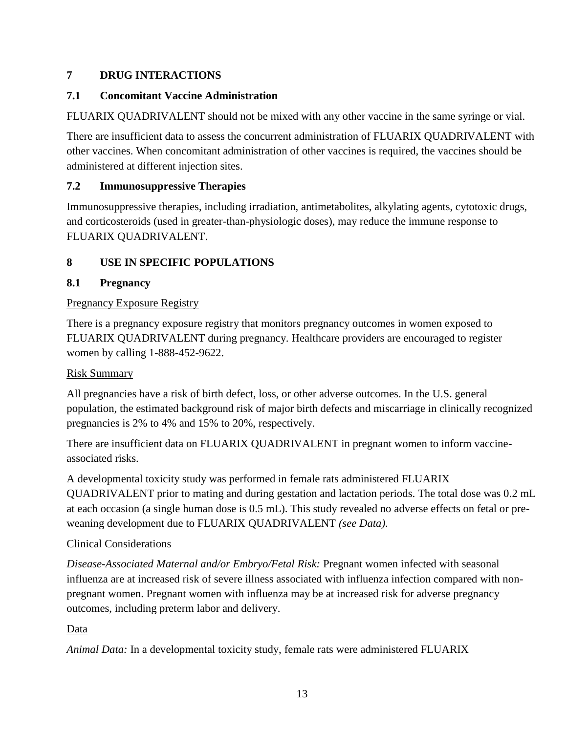### **7 DRUG INTERACTIONS**

#### **7.1 Concomitant Vaccine Administration**

FLUARIX QUADRIVALENT should not be mixed with any other vaccine in the same syringe or vial.

There are insufficient data to assess the concurrent administration of FLUARIX QUADRIVALENT with other vaccines. When concomitant administration of other vaccines is required, the vaccines should be administered at different injection sites.

#### **7.2 Immunosuppressive Therapies**

Immunosuppressive therapies, including irradiation, antimetabolites, alkylating agents, cytotoxic drugs, and corticosteroids (used in greater-than-physiologic doses), may reduce the immune response to FLUARIX QUADRIVALENT.

### **8 USE IN SPECIFIC POPULATIONS**

### **8.1 Pregnancy**

#### Pregnancy Exposure Registry

There is a pregnancy exposure registry that monitors pregnancy outcomes in women exposed to FLUARIX QUADRIVALENT during pregnancy. Healthcare providers are encouraged to register women by calling 1-888-452-9622.

#### Risk Summary

All pregnancies have a risk of birth defect, loss, or other adverse outcomes. In the U.S. general population, the estimated background risk of major birth defects and miscarriage in clinically recognized pregnancies is 2% to 4% and 15% to 20%, respectively.

There are insufficient data on FLUARIX QUADRIVALENT in pregnant women to inform vaccineassociated risks.

A developmental toxicity study was performed in female rats administered FLUARIX QUADRIVALENT prior to mating and during gestation and lactation periods. The total dose was 0.2 mL at each occasion (a single human dose is 0.5 mL). This study revealed no adverse effects on fetal or preweaning development due to FLUARIX QUADRIVALENT *(see Data)*.

### Clinical Considerations

*Disease-Associated Maternal and/or Embryo/Fetal Risk:* Pregnant women infected with seasonal influenza are at increased risk of severe illness associated with influenza infection compared with nonpregnant women. Pregnant women with influenza may be at increased risk for adverse pregnancy outcomes, including preterm labor and delivery.

### Data

*Animal Data:* In a developmental toxicity study, female rats were administered FLUARIX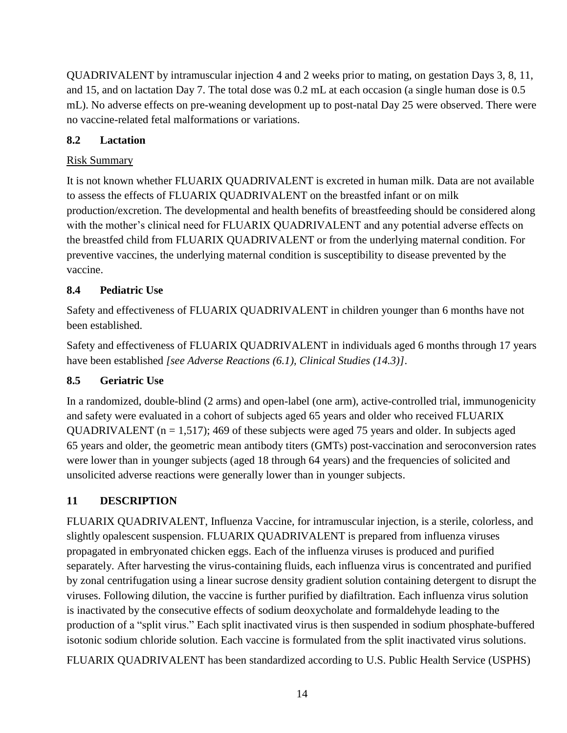QUADRIVALENT by intramuscular injection 4 and 2 weeks prior to mating, on gestation Days 3, 8, 11, and 15, and on lactation Day 7. The total dose was 0.2 mL at each occasion (a single human dose is 0.5 mL). No adverse effects on pre-weaning development up to post-natal Day 25 were observed. There were no vaccine-related fetal malformations or variations.

### **8.2 Lactation**

#### **Risk Summary**

It is not known whether FLUARIX QUADRIVALENT is excreted in human milk. Data are not available to assess the effects of FLUARIX QUADRIVALENT on the breastfed infant or on milk production/excretion. The developmental and health benefits of breastfeeding should be considered along with the mother's clinical need for FLUARIX QUADRIVALENT and any potential adverse effects on the breastfed child from FLUARIX QUADRIVALENT or from the underlying maternal condition. For preventive vaccines, the underlying maternal condition is susceptibility to disease prevented by the vaccine.

### **8.4 Pediatric Use**

Safety and effectiveness of FLUARIX QUADRIVALENT in children younger than 6 months have not been established.

Safety and effectiveness of FLUARIX QUADRIVALENT in individuals aged 6 months through 17 years have been established *[see Adverse Reactions (6.1), Clinical Studies (14.3)]*.

### **8.5 Geriatric Use**

In a randomized, double-blind (2 arms) and open-label (one arm), active-controlled trial, immunogenicity and safety were evaluated in a cohort of subjects aged 65 years and older who received FLUARIX QUADRIVALENT ( $n = 1,517$ ); 469 of these subjects were aged 75 years and older. In subjects aged 65 years and older, the geometric mean antibody titers (GMTs) post-vaccination and seroconversion rates were lower than in younger subjects (aged 18 through 64 years) and the frequencies of solicited and unsolicited adverse reactions were generally lower than in younger subjects.

### **11 DESCRIPTION**

FLUARIX QUADRIVALENT, Influenza Vaccine, for intramuscular injection, is a sterile, colorless, and slightly opalescent suspension. FLUARIX QUADRIVALENT is prepared from influenza viruses propagated in embryonated chicken eggs. Each of the influenza viruses is produced and purified separately. After harvesting the virus-containing fluids, each influenza virus is concentrated and purified by zonal centrifugation using a linear sucrose density gradient solution containing detergent to disrupt the viruses. Following dilution, the vaccine is further purified by diafiltration. Each influenza virus solution is inactivated by the consecutive effects of sodium deoxycholate and formaldehyde leading to the production of a "split virus." Each split inactivated virus is then suspended in sodium phosphate-buffered isotonic sodium chloride solution. Each vaccine is formulated from the split inactivated virus solutions.

FLUARIX QUADRIVALENT has been standardized according to U.S. Public Health Service (USPHS)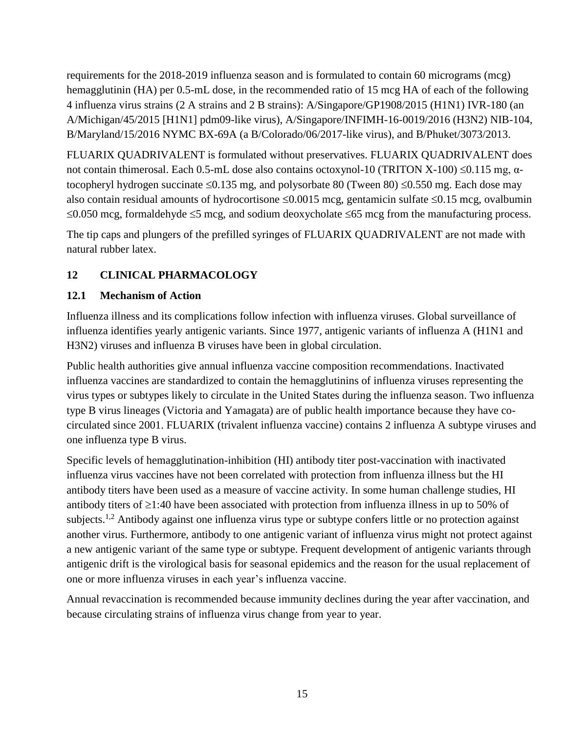requirements for the 2018-2019 influenza season and is formulated to contain 60 micrograms (mcg) hemagglutinin (HA) per 0.5-mL dose, in the recommended ratio of 15 mcg HA of each of the following 4 influenza virus strains (2 A strains and 2 B strains): A/Singapore/GP1908/2015 (H1N1) IVR-180 (an A/Michigan/45/2015 [H1N1] pdm09-like virus), A/Singapore/INFIMH-16-0019/2016 (H3N2) NIB-104, B/Maryland/15/2016 NYMC BX-69A (a B/Colorado/06/2017-like virus), and B/Phuket/3073/2013.

FLUARIX QUADRIVALENT is formulated without preservatives. FLUARIX QUADRIVALENT does not contain thimerosal. Each 0.5-mL dose also contains octoxynol-10 (TRITON X-100) ≤0.115 mg, αtocopheryl hydrogen succinate  $\leq 0.135$  mg, and polysorbate 80 (Tween 80)  $\leq 0.550$  mg. Each dose may also contain residual amounts of hydrocortisone  $\leq 0.0015$  mcg, gentamicin sulfate  $\leq 0.15$  mcg, ovalbumin  $\leq 0.050$  mcg, formaldehyde  $\leq 5$  mcg, and sodium deoxycholate  $\leq 65$  mcg from the manufacturing process.

The tip caps and plungers of the prefilled syringes of FLUARIX QUADRIVALENT are not made with natural rubber latex.

### **12 CLINICAL PHARMACOLOGY**

#### **12.1 Mechanism of Action**

Influenza illness and its complications follow infection with influenza viruses. Global surveillance of influenza identifies yearly antigenic variants. Since 1977, antigenic variants of influenza A (H1N1 and H3N2) viruses and influenza B viruses have been in global circulation.

Public health authorities give annual influenza vaccine composition recommendations. Inactivated influenza vaccines are standardized to contain the hemagglutinins of influenza viruses representing the virus types or subtypes likely to circulate in the United States during the influenza season. Two influenza type B virus lineages (Victoria and Yamagata) are of public health importance because they have cocirculated since 2001. FLUARIX (trivalent influenza vaccine) contains 2 influenza A subtype viruses and one influenza type B virus.

Specific levels of hemagglutination-inhibition (HI) antibody titer post-vaccination with inactivated influenza virus vaccines have not been correlated with protection from influenza illness but the HI antibody titers have been used as a measure of vaccine activity. In some human challenge studies, HI antibody titers of  $\geq$ 1:40 have been associated with protection from influenza illness in up to 50% of subjects.<sup>1,2</sup> Antibody against one influenza virus type or subtype confers little or no protection against another virus. Furthermore, antibody to one antigenic variant of influenza virus might not protect against a new antigenic variant of the same type or subtype. Frequent development of antigenic variants through antigenic drift is the virological basis for seasonal epidemics and the reason for the usual replacement of one or more influenza viruses in each year's influenza vaccine.

Annual revaccination is recommended because immunity declines during the year after vaccination, and because circulating strains of influenza virus change from year to year.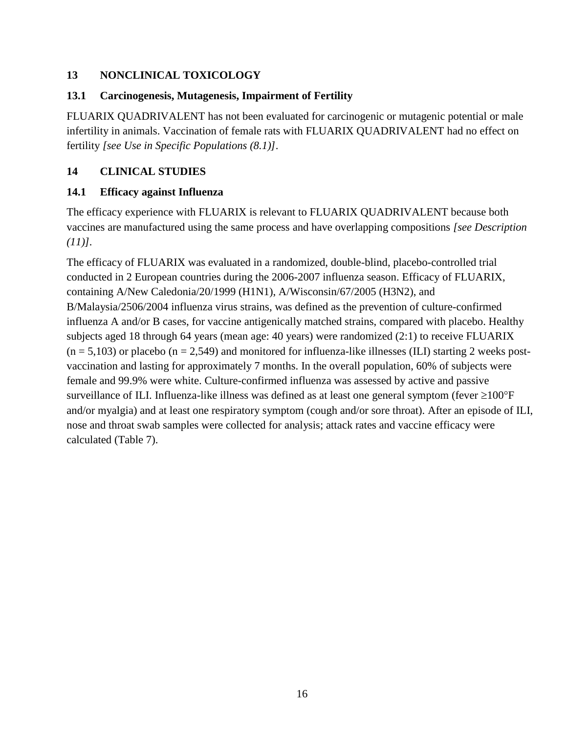#### **13 NONCLINICAL TOXICOLOGY**

#### **13.1 Carcinogenesis, Mutagenesis, Impairment of Fertility**

FLUARIX QUADRIVALENT has not been evaluated for carcinogenic or mutagenic potential or male infertility in animals. Vaccination of female rats with FLUARIX QUADRIVALENT had no effect on fertility *[see Use in Specific Populations (8.1)]*.

#### **14 CLINICAL STUDIES**

#### **14.1 Efficacy against Influenza**

The efficacy experience with FLUARIX is relevant to FLUARIX QUADRIVALENT because both vaccines are manufactured using the same process and have overlapping compositions *[see Description (11)].*

The efficacy of FLUARIX was evaluated in a randomized, double-blind, placebo-controlled trial conducted in 2 European countries during the 2006-2007 influenza season. Efficacy of FLUARIX, containing A/New Caledonia/20/1999 (H1N1), A/Wisconsin/67/2005 (H3N2), and B/Malaysia/2506/2004 influenza virus strains, was defined as the prevention of culture-confirmed influenza A and/or B cases, for vaccine antigenically matched strains, compared with placebo. Healthy subjects aged 18 through 64 years (mean age: 40 years) were randomized (2:1) to receive FLUARIX  $(n = 5,103)$  or placebo  $(n = 2,549)$  and monitored for influenza-like illnesses (ILI) starting 2 weeks postvaccination and lasting for approximately 7 months. In the overall population, 60% of subjects were female and 99.9% were white. Culture-confirmed influenza was assessed by active and passive surveillance of ILI. Influenza-like illness was defined as at least one general symptom (fever  $\geq$ 100°F and/or myalgia) and at least one respiratory symptom (cough and/or sore throat). After an episode of ILI, nose and throat swab samples were collected for analysis; attack rates and vaccine efficacy were calculated (Table 7).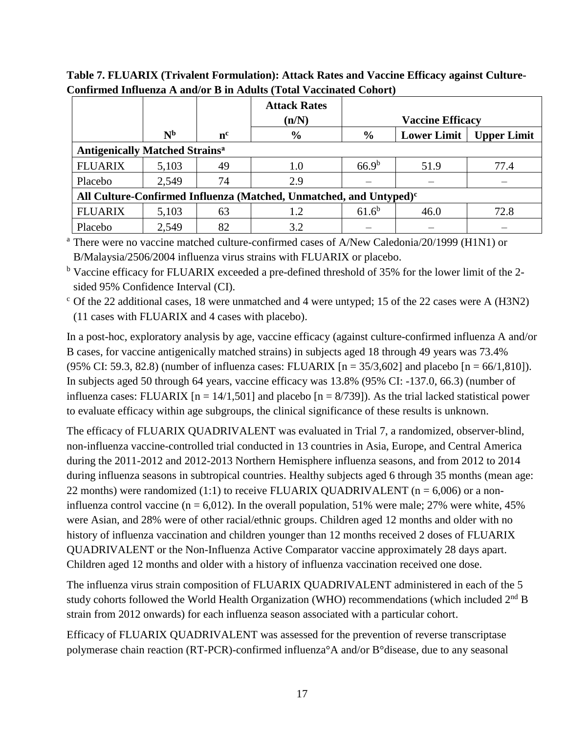|                                                                                |                |         | <b>Attack Rates</b><br>(n/N) |               | <b>Vaccine Efficacy</b> |                    |  |  |  |
|--------------------------------------------------------------------------------|----------------|---------|------------------------------|---------------|-------------------------|--------------------|--|--|--|
|                                                                                | N <sub>b</sub> | $n^{c}$ | $\frac{0}{0}$                | $\frac{0}{0}$ | <b>Lower Limit</b>      | <b>Upper Limit</b> |  |  |  |
| <b>Antigenically Matched Strains<sup>a</sup></b>                               |                |         |                              |               |                         |                    |  |  |  |
| <b>FLUARIX</b>                                                                 | 5,103          | 49      | $1.0\,$                      | $66.9^b$      | 51.9                    | 77.4               |  |  |  |
| Placebo                                                                        | 2,549          | 74      | 2.9                          |               |                         |                    |  |  |  |
| All Culture-Confirmed Influenza (Matched, Unmatched, and Untyped) <sup>c</sup> |                |         |                              |               |                         |                    |  |  |  |
| <b>FLUARIX</b>                                                                 | 5,103          | 63      | 1.2                          | $61.6^b$      | 46.0                    | 72.8               |  |  |  |
| Placebo                                                                        | 2,549          | 82      | 3.2                          |               |                         |                    |  |  |  |

**Table 7. FLUARIX (Trivalent Formulation): Attack Rates and Vaccine Efficacy against Culture-Confirmed Influenza A and/or B in Adults (Total Vaccinated Cohort)**

<sup>a</sup> There were no vaccine matched culture-confirmed cases of A/New Caledonia/20/1999 (H1N1) or B/Malaysia/2506/2004 influenza virus strains with FLUARIX or placebo.

<sup>b</sup> Vaccine efficacy for FLUARIX exceeded a pre-defined threshold of 35% for the lower limit of the 2 sided 95% Confidence Interval (CI).

 $\degree$  Of the 22 additional cases, 18 were unmatched and 4 were untyped; 15 of the 22 cases were A (H3N2) (11 cases with FLUARIX and 4 cases with placebo).

In a post-hoc, exploratory analysis by age, vaccine efficacy (against culture-confirmed influenza A and/or B cases, for vaccine antigenically matched strains) in subjects aged 18 through 49 years was 73.4% (95% CI: 59.3, 82.8) (number of influenza cases: FLUARIX  $[n = 35/3,602]$  and placebo  $[n = 66/1,810]$ ). In subjects aged 50 through 64 years, vaccine efficacy was 13.8% (95% CI: -137.0, 66.3) (number of influenza cases: FLUARIX  $[n = 14/1, 501]$  and placebo  $[n = 8/739]$ ). As the trial lacked statistical power to evaluate efficacy within age subgroups, the clinical significance of these results is unknown.

The efficacy of FLUARIX QUADRIVALENT was evaluated in Trial 7, a randomized, observer-blind, non-influenza vaccine-controlled trial conducted in 13 countries in Asia, Europe, and Central America during the 2011-2012 and 2012-2013 Northern Hemisphere influenza seasons, and from 2012 to 2014 during influenza seasons in subtropical countries. Healthy subjects aged 6 through 35 months (mean age: 22 months) were randomized (1:1) to receive FLUARIX QUADRIVALENT ( $n = 6,006$ ) or a noninfluenza control vaccine ( $n = 6.012$ ). In the overall population, 51% were male; 27% were white, 45% were Asian, and 28% were of other racial/ethnic groups. Children aged 12 months and older with no history of influenza vaccination and children younger than 12 months received 2 doses of FLUARIX QUADRIVALENT or the Non-Influenza Active Comparator vaccine approximately 28 days apart. Children aged 12 months and older with a history of influenza vaccination received one dose.

The influenza virus strain composition of FLUARIX QUADRIVALENT administered in each of the 5 study cohorts followed the World Health Organization (WHO) recommendations (which included  $2<sup>nd</sup>$  B strain from 2012 onwards) for each influenza season associated with a particular cohort.

Efficacy of FLUARIX QUADRIVALENT was assessed for the prevention of reverse transcriptase polymerase chain reaction (RT-PCR)-confirmed influenza°A and/or B°disease, due to any seasonal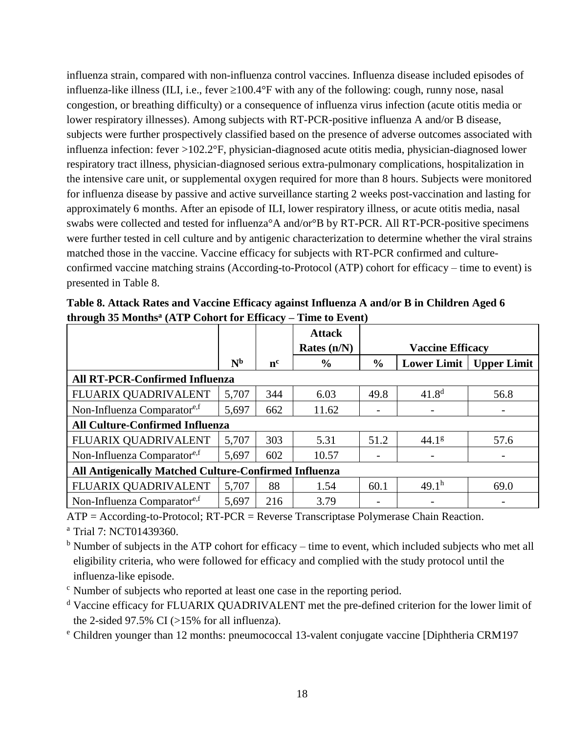influenza strain, compared with non-influenza control vaccines. Influenza disease included episodes of influenza-like illness (ILI, i.e., fever  $\geq 100.4^{\circ}$ F with any of the following: cough, runny nose, nasal congestion, or breathing difficulty) or a consequence of influenza virus infection (acute otitis media or lower respiratory illnesses). Among subjects with RT-PCR-positive influenza A and/or B disease, subjects were further prospectively classified based on the presence of adverse outcomes associated with influenza infection: fever >102.2°F, physician-diagnosed acute otitis media, physician-diagnosed lower respiratory tract illness, physician-diagnosed serious extra-pulmonary complications, hospitalization in the intensive care unit, or supplemental oxygen required for more than 8 hours. Subjects were monitored for influenza disease by passive and active surveillance starting 2 weeks post-vaccination and lasting for approximately 6 months. After an episode of ILI, lower respiratory illness, or acute otitis media, nasal swabs were collected and tested for influenza°A and/or°B by RT-PCR. All RT-PCR-positive specimens were further tested in cell culture and by antigenic characterization to determine whether the viral strains matched those in the vaccine. Vaccine efficacy for subjects with RT-PCR confirmed and cultureconfirmed vaccine matching strains (According-to-Protocol (ATP) cohort for efficacy – time to event) is presented in Table 8.

|                                                              |                |         | <b>Attack</b> |               |                         |                           |  |  |
|--------------------------------------------------------------|----------------|---------|---------------|---------------|-------------------------|---------------------------|--|--|
|                                                              |                |         | Rates $(n/N)$ |               | <b>Vaccine Efficacy</b> |                           |  |  |
|                                                              | N <sub>b</sub> | $n^{c}$ | $\frac{6}{9}$ | $\frac{6}{9}$ |                         | Lower Limit   Upper Limit |  |  |
| <b>All RT-PCR-Confirmed Influenza</b>                        |                |         |               |               |                         |                           |  |  |
| FLUARIX QUADRIVALENT                                         | 5,707          | 344     | 6.03          | 49.8          | $41.8^{d}$              | 56.8                      |  |  |
| Non-Influenza Comparatore,f                                  | 5,697          | 662     | 11.62         |               |                         |                           |  |  |
| <b>All Culture-Confirmed Influenza</b>                       |                |         |               |               |                         |                           |  |  |
| FLUARIX QUADRIVALENT                                         | 5,707          | 303     | 5.31          | 51.2          | 44.1 <sup>g</sup>       | 57.6                      |  |  |
| Non-Influenza Comparatore,f                                  | 5,697          | 602     | 10.57         |               |                         |                           |  |  |
| <b>All Antigenically Matched Culture-Confirmed Influenza</b> |                |         |               |               |                         |                           |  |  |
| FLUARIX QUADRIVALENT                                         | 5,707          | 88      | 1.54          | 60.1          | 49.1 <sup>h</sup>       | 69.0                      |  |  |
| Non-Influenza Comparator <sup>e,f</sup>                      | 5,697          | 216     | 3.79          |               |                         |                           |  |  |

**Table 8. Attack Rates and Vaccine Efficacy against Influenza A and/or B in Children Aged 6 through 35 Months<sup>a</sup> (ATP Cohort for Efficacy – Time to Event)**

ATP = According-to-Protocol; RT-PCR = Reverse Transcriptase Polymerase Chain Reaction.

<sup>a</sup> Trial 7: NCT01439360.

 $<sup>b</sup>$  Number of subjects in the ATP cohort for efficacy – time to event, which included subjects who met all</sup> eligibility criteria, who were followed for efficacy and complied with the study protocol until the influenza-like episode.

<sup>c</sup> Number of subjects who reported at least one case in the reporting period.

<sup>d</sup> Vaccine efficacy for FLUARIX QUADRIVALENT met the pre-defined criterion for the lower limit of the 2-sided 97.5% CI ( $>15\%$  for all influenza).

<sup>e</sup> Children younger than 12 months: pneumococcal 13-valent conjugate vaccine [Diphtheria CRM197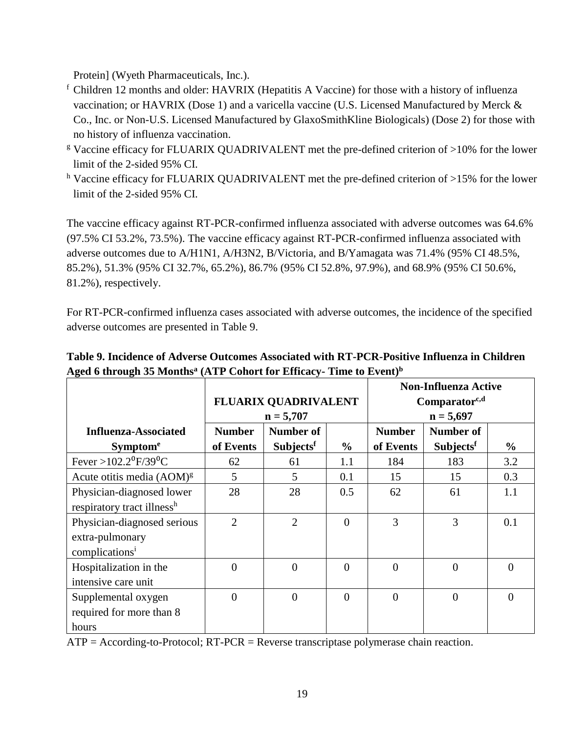Protein] (Wyeth Pharmaceuticals, Inc.).

- <sup>f</sup> Children 12 months and older: HAVRIX (Hepatitis A Vaccine) for those with a history of influenza vaccination; or HAVRIX (Dose 1) and a varicella vaccine (U.S. Licensed Manufactured by Merck & Co., Inc. or Non-U.S. Licensed Manufactured by GlaxoSmithKline Biologicals) (Dose 2) for those with no history of influenza vaccination.
- <sup>g</sup> Vaccine efficacy for FLUARIX QUADRIVALENT met the pre-defined criterion of >10% for the lower limit of the 2-sided 95% CI.
- h Vaccine efficacy for FLUARIX QUADRIVALENT met the pre-defined criterion of >15% for the lower limit of the 2-sided 95% CI.

The vaccine efficacy against RT-PCR-confirmed influenza associated with adverse outcomes was 64.6% (97.5% CI 53.2%, 73.5%). The vaccine efficacy against RT-PCR-confirmed influenza associated with adverse outcomes due to A/H1N1, A/H3N2, B/Victoria, and B/Yamagata was 71.4% (95% CI 48.5%, 85.2%), 51.3% (95% CI 32.7%, 65.2%), 86.7% (95% CI 52.8%, 97.9%), and 68.9% (95% CI 50.6%, 81.2%), respectively.

For RT-PCR-confirmed influenza cases associated with adverse outcomes, the incidence of the specified adverse outcomes are presented in Table 9.

|                                                                              |                | <b>FLUARIX QUADRIVALENT</b><br>$n = 5,707$ |               | <b>Non-Influenza Active</b><br>$Comparator^{c,d}$<br>$n = 5,697$ |                |               |  |
|------------------------------------------------------------------------------|----------------|--------------------------------------------|---------------|------------------------------------------------------------------|----------------|---------------|--|
| <b>Influenza-Associated</b>                                                  | <b>Number</b>  | Number of                                  |               | <b>Number</b>                                                    | Number of      |               |  |
| <b>Symptome</b>                                                              | of Events      | Subjectsf                                  | $\frac{6}{6}$ | of Events                                                        | Subjectsf      | $\frac{6}{9}$ |  |
| Fever >102.2 <sup>0</sup> F/39 <sup>0</sup> C                                | 62             | 61                                         | 1.1           | 184                                                              | 183            | 3.2           |  |
| Acute otitis media (AOM) <sup>g</sup>                                        | 5              | 5                                          | 0.1           | 15                                                               | 15             | 0.3           |  |
| Physician-diagnosed lower<br>respiratory tract illness <sup>h</sup>          | 28             | 28                                         | 0.5           | 62                                                               | 61             | 1.1           |  |
| Physician-diagnosed serious<br>extra-pulmonary<br>complications <sup>i</sup> | $\overline{2}$ | $\overline{2}$                             | $\Omega$      | 3                                                                | 3              | 0.1           |  |
| Hospitalization in the<br>intensive care unit                                | $\theta$       | $\overline{0}$                             | $\Omega$      | $\overline{0}$                                                   | $\overline{0}$ | $\Omega$      |  |
| Supplemental oxygen<br>required for more than 8<br>hours                     | $\theta$       | $\overline{0}$                             | $\Omega$      | $\theta$                                                         | $\theta$       | $\Omega$      |  |

**Table 9. Incidence of Adverse Outcomes Associated with RT-PCR-Positive Influenza in Children Aged 6 through 35 Months<sup>a</sup> (ATP Cohort for Efficacy- Time to Event)<sup>b</sup>**

 $ATP = According-to-Protocol; RT-PCR = Reverse transcriptase polymerase chain reaction.$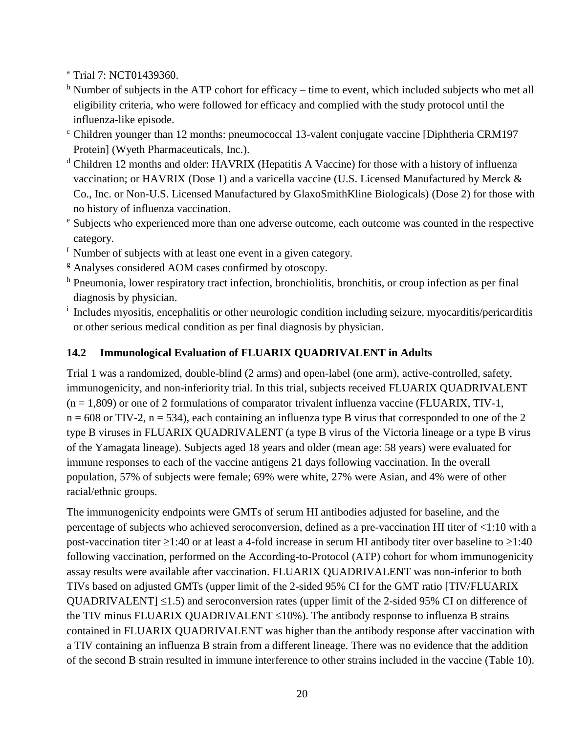<sup>a</sup> Trial 7: NCT01439360.

- $<sup>b</sup>$  Number of subjects in the ATP cohort for efficacy time to event, which included subjects who met all</sup> eligibility criteria, who were followed for efficacy and complied with the study protocol until the influenza-like episode.
- <sup>c</sup> Children younger than 12 months: pneumococcal 13-valent conjugate vaccine [Diphtheria CRM197 Protein] (Wyeth Pharmaceuticals, Inc.).
- <sup>d</sup> Children 12 months and older: HAVRIX (Hepatitis A Vaccine) for those with a history of influenza vaccination; or HAVRIX (Dose 1) and a varicella vaccine (U.S. Licensed Manufactured by Merck & Co., Inc. or Non-U.S. Licensed Manufactured by GlaxoSmithKline Biologicals) (Dose 2) for those with no history of influenza vaccination.
- <sup>e</sup> Subjects who experienced more than one adverse outcome, each outcome was counted in the respective category.
- <sup>f</sup> Number of subjects with at least one event in a given category.
- <sup>g</sup> Analyses considered AOM cases confirmed by otoscopy.
- h Pneumonia, lower respiratory tract infection, bronchiolitis, bronchitis, or croup infection as per final diagnosis by physician.
- <sup>i</sup> Includes myositis, encephalitis or other neurologic condition including seizure, myocarditis/pericarditis or other serious medical condition as per final diagnosis by physician.

### **14.2 Immunological Evaluation of FLUARIX QUADRIVALENT in Adults**

Trial 1 was a randomized, double-blind (2 arms) and open-label (one arm), active-controlled, safety, immunogenicity, and non-inferiority trial. In this trial, subjects received FLUARIX QUADRIVALENT  $(n = 1,809)$  or one of 2 formulations of comparator trivalent influenza vaccine (FLUARIX, TIV-1,  $n = 608$  or TIV-2,  $n = 534$ ), each containing an influenza type B virus that corresponded to one of the 2 type B viruses in FLUARIX QUADRIVALENT (a type B virus of the Victoria lineage or a type B virus of the Yamagata lineage). Subjects aged 18 years and older (mean age: 58 years) were evaluated for immune responses to each of the vaccine antigens 21 days following vaccination. In the overall population, 57% of subjects were female; 69% were white, 27% were Asian, and 4% were of other racial/ethnic groups.

The immunogenicity endpoints were GMTs of serum HI antibodies adjusted for baseline, and the percentage of subjects who achieved seroconversion, defined as a pre-vaccination HI titer of <1:10 with a post-vaccination titer  $\geq 1:40$  or at least a 4-fold increase in serum HI antibody titer over baseline to  $\geq 1:40$ following vaccination, performed on the According-to-Protocol (ATP) cohort for whom immunogenicity assay results were available after vaccination. FLUARIX QUADRIVALENT was non-inferior to both TIVs based on adjusted GMTs (upper limit of the 2-sided 95% CI for the GMT ratio [TIV/FLUARIX QUADRIVALENT  $\leq 1.5$ ) and seroconversion rates (upper limit of the 2-sided 95% CI on difference of the TIV minus FLUARIX QUADRIVALENT  $\leq 10\%$ ). The antibody response to influenza B strains contained in FLUARIX QUADRIVALENT was higher than the antibody response after vaccination with a TIV containing an influenza B strain from a different lineage. There was no evidence that the addition of the second B strain resulted in immune interference to other strains included in the vaccine (Table 10).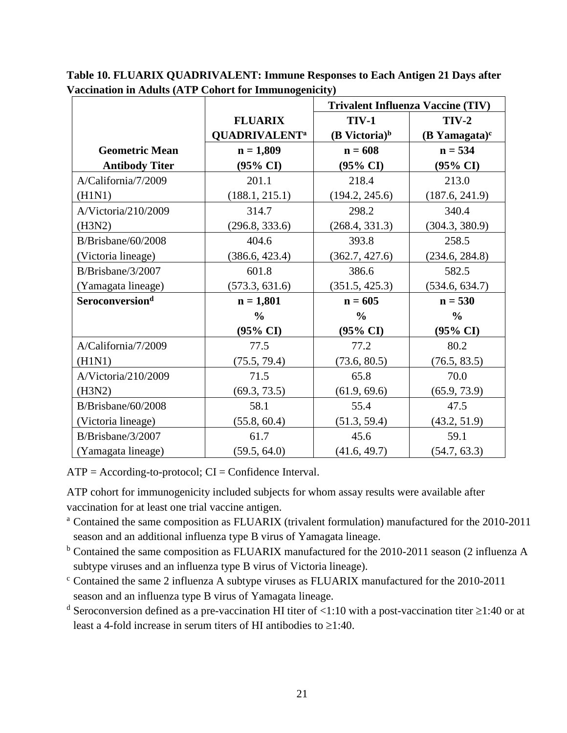|                             |                                 |                    | <b>Trivalent Influenza Vaccine (TIV)</b> |
|-----------------------------|---------------------------------|--------------------|------------------------------------------|
|                             | <b>FLUARIX</b>                  | <b>TIV-1</b>       | $TIV-2$                                  |
|                             | <b>QUADRIVALENT<sup>a</sup></b> | $(B$ Victoria) $b$ | (B Yamagata) $\text{c}$                  |
| <b>Geometric Mean</b>       | $n = 1,809$                     | $n = 608$          | $n = 534$                                |
| <b>Antibody Titer</b>       | $(95\% \text{ CI})$             | (95% CI)           | (95% CI)                                 |
| A/California/7/2009         | 201.1                           | 218.4              | 213.0                                    |
| (H1N1)                      | (188.1, 215.1)                  | (194.2, 245.6)     | (187.6, 241.9)                           |
| A/Victoria/210/2009         | 314.7                           | 298.2              | 340.4                                    |
| (H3N2)                      | (296.8, 333.6)                  | (268.4, 331.3)     | (304.3, 380.9)                           |
| B/Brisbane/60/2008          | 404.6                           | 393.8              | 258.5                                    |
| (Victoria lineage)          | (386.6, 423.4)                  | (362.7, 427.6)     | (234.6, 284.8)                           |
| B/Brisbane/3/2007           | 601.8                           | 386.6              | 582.5                                    |
| (Yamagata lineage)          | (573.3, 631.6)                  | (351.5, 425.3)     | (534.6, 634.7)                           |
| Seroconversion <sup>d</sup> | $n = 1,801$                     | $n = 605$          | $n = 530$                                |
|                             | $\frac{0}{0}$                   | $\frac{0}{0}$      | $\frac{0}{0}$                            |
|                             | $(95\% \text{ CI})$             | (95% CI)           | $(95\% \text{ CI})$                      |
| A/California/7/2009         | 77.5                            | 77.2               | 80.2                                     |
| (H1N1)                      | (75.5, 79.4)                    | (73.6, 80.5)       | (76.5, 83.5)                             |
| A/Victoria/210/2009         | 71.5                            | 65.8               | 70.0                                     |
| (H3N2)                      | (69.3, 73.5)                    | (61.9, 69.6)       | (65.9, 73.9)                             |
| B/Brisbane/60/2008          | 58.1                            | 55.4               | 47.5                                     |
| (Victoria lineage)          | (55.8, 60.4)                    | (51.3, 59.4)       | (43.2, 51.9)                             |
| B/Brisbane/3/2007           | 61.7                            | 45.6               | 59.1                                     |
| (Yamagata lineage)          | (59.5, 64.0)                    | (41.6, 49.7)       | (54.7, 63.3)                             |

**Table 10. FLUARIX QUADRIVALENT: Immune Responses to Each Antigen 21 Days after Vaccination in Adults (ATP Cohort for Immunogenicity)**

 $ATP = According-to-protocol; CI = Confidence Interval.$ 

ATP cohort for immunogenicity included subjects for whom assay results were available after vaccination for at least one trial vaccine antigen.

- <sup>a</sup> Contained the same composition as FLUARIX (trivalent formulation) manufactured for the 2010-2011 season and an additional influenza type B virus of Yamagata lineage.
- <sup>b</sup> Contained the same composition as FLUARIX manufactured for the 2010-2011 season (2 influenza A subtype viruses and an influenza type B virus of Victoria lineage).
- <sup>c</sup> Contained the same 2 influenza A subtype viruses as FLUARIX manufactured for the 2010-2011 season and an influenza type B virus of Yamagata lineage.
- <sup>d</sup> Seroconversion defined as a pre-vaccination HI titer of <1:10 with a post-vaccination titer  $\geq$ 1:40 or at least a 4-fold increase in serum titers of HI antibodies to  $\geq 1:40$ .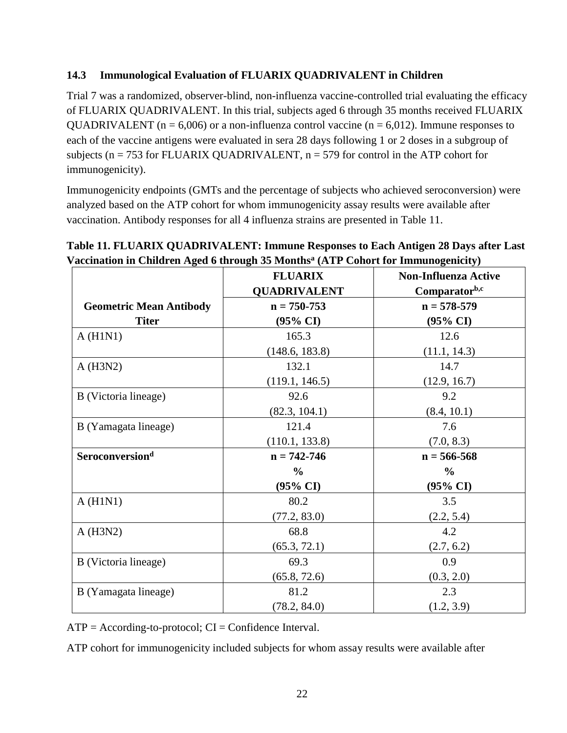#### **14.3 Immunological Evaluation of FLUARIX QUADRIVALENT in Children**

Trial 7 was a randomized, observer-blind, non-influenza vaccine-controlled trial evaluating the efficacy of FLUARIX QUADRIVALENT. In this trial, subjects aged 6 through 35 months received FLUARIX QUADRIVALENT ( $n = 6,006$ ) or a non-influenza control vaccine ( $n = 6,012$ ). Immune responses to each of the vaccine antigens were evaluated in sera 28 days following 1 or 2 doses in a subgroup of subjects ( $n = 753$  for FLUARIX QUADRIVALENT,  $n = 579$  for control in the ATP cohort for immunogenicity).

Immunogenicity endpoints (GMTs and the percentage of subjects who achieved seroconversion) were analyzed based on the ATP cohort for whom immunogenicity assay results were available after vaccination. Antibody responses for all 4 influenza strains are presented in Table 11.

### **Table 11. FLUARIX QUADRIVALENT: Immune Responses to Each Antigen 28 Days after Last Vaccination in Children Aged 6 through 35 Months<sup>a</sup> (ATP Cohort for Immunogenicity)**

|                                | <b>FLUARIX</b>      | <b>Non-Influenza Active</b> |
|--------------------------------|---------------------|-----------------------------|
|                                | <b>QUADRIVALENT</b> | Comparatorb,c               |
| <b>Geometric Mean Antibody</b> | $n = 750 - 753$     | $n = 578 - 579$             |
| <b>Titer</b>                   | $(95\% \text{ CI})$ | $(95\% \text{ CI})$         |
| A(H1N1)                        | 165.3               | 12.6                        |
|                                | (148.6, 183.8)      | (11.1, 14.3)                |
| A(H3N2)                        | 132.1               | 14.7                        |
|                                | (119.1, 146.5)      | (12.9, 16.7)                |
| B (Victoria lineage)           | 92.6                | 9.2                         |
|                                | (82.3, 104.1)       | (8.4, 10.1)                 |
| B (Yamagata lineage)           | 121.4               | 7.6                         |
|                                | (110.1, 133.8)      | (7.0, 8.3)                  |
| Seroconversion <sup>d</sup>    | $n = 742 - 746$     | $n = 566 - 568$             |
|                                | $\frac{6}{6}$       | $\frac{6}{6}$               |
|                                | $(95\% \text{ CI})$ | $(95\% \text{ CI})$         |
| A(H1N1)                        | 80.2                | 3.5                         |
|                                | (77.2, 83.0)        | (2.2, 5.4)                  |
| A(H3N2)                        | 68.8                | 4.2                         |
|                                | (65.3, 72.1)        | (2.7, 6.2)                  |
| B (Victoria lineage)           | 69.3                | 0.9                         |
|                                | (65.8, 72.6)        | (0.3, 2.0)                  |
| B (Yamagata lineage)           | 81.2                | 2.3                         |
|                                | (78.2, 84.0)        | (1.2, 3.9)                  |

 $ATP = According-to-protocol; CI = Confidence Interval.$ 

ATP cohort for immunogenicity included subjects for whom assay results were available after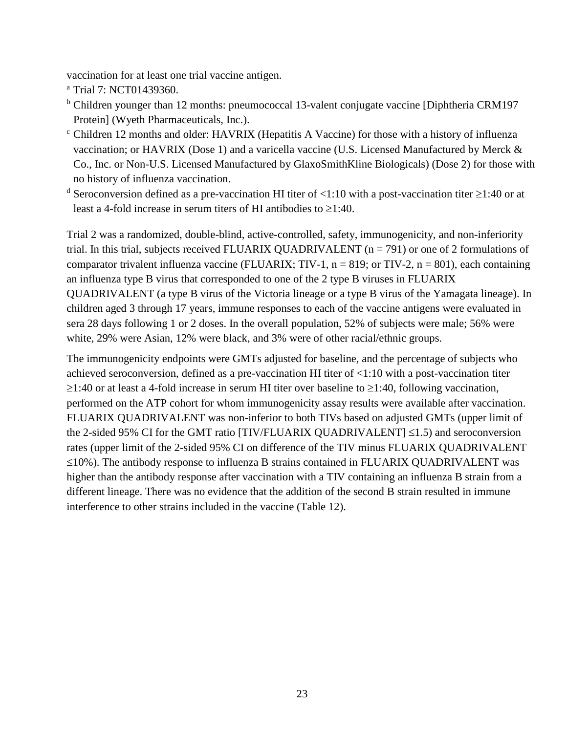vaccination for at least one trial vaccine antigen.

<sup>a</sup> Trial 7: NCT01439360.

- <sup>b</sup> Children younger than 12 months: pneumococcal 13-valent conjugate vaccine [Diphtheria CRM197 Protein] (Wyeth Pharmaceuticals, Inc.).
- <sup>c</sup> Children 12 months and older: HAVRIX (Hepatitis A Vaccine) for those with a history of influenza vaccination; or HAVRIX (Dose 1) and a varicella vaccine (U.S. Licensed Manufactured by Merck & Co., Inc. or Non-U.S. Licensed Manufactured by GlaxoSmithKline Biologicals) (Dose 2) for those with no history of influenza vaccination.
- <sup>d</sup> Seroconversion defined as a pre-vaccination HI titer of <1:10 with a post-vaccination titer  $\geq$ 1:40 or at least a 4-fold increase in serum titers of HI antibodies to  $\geq 1:40$ .

Trial 2 was a randomized, double-blind, active-controlled, safety, immunogenicity, and non-inferiority trial. In this trial, subjects received FLUARIX QUADRIVALENT ( $n = 791$ ) or one of 2 formulations of comparator trivalent influenza vaccine (FLUARIX; TIV-1,  $n = 819$ ; or TIV-2,  $n = 801$ ), each containing an influenza type B virus that corresponded to one of the 2 type B viruses in FLUARIX QUADRIVALENT (a type B virus of the Victoria lineage or a type B virus of the Yamagata lineage). In children aged 3 through 17 years, immune responses to each of the vaccine antigens were evaluated in sera 28 days following 1 or 2 doses. In the overall population, 52% of subjects were male; 56% were white, 29% were Asian, 12% were black, and 3% were of other racial/ethnic groups.

The immunogenicity endpoints were GMTs adjusted for baseline, and the percentage of subjects who achieved seroconversion, defined as a pre-vaccination HI titer of <1:10 with a post-vaccination titer  $\geq$ 1:40 or at least a 4-fold increase in serum HI titer over baseline to  $\geq$ 1:40, following vaccination, performed on the ATP cohort for whom immunogenicity assay results were available after vaccination. FLUARIX QUADRIVALENT was non-inferior to both TIVs based on adjusted GMTs (upper limit of the 2-sided 95% CI for the GMT ratio [TIV/FLUARIX QUADRIVALENT]  $\leq$ 1.5) and seroconversion rates (upper limit of the 2-sided 95% CI on difference of the TIV minus FLUARIX QUADRIVALENT  $\leq$ 10%). The antibody response to influenza B strains contained in FLUARIX QUADRIVALENT was higher than the antibody response after vaccination with a TIV containing an influenza B strain from a different lineage. There was no evidence that the addition of the second B strain resulted in immune interference to other strains included in the vaccine (Table 12).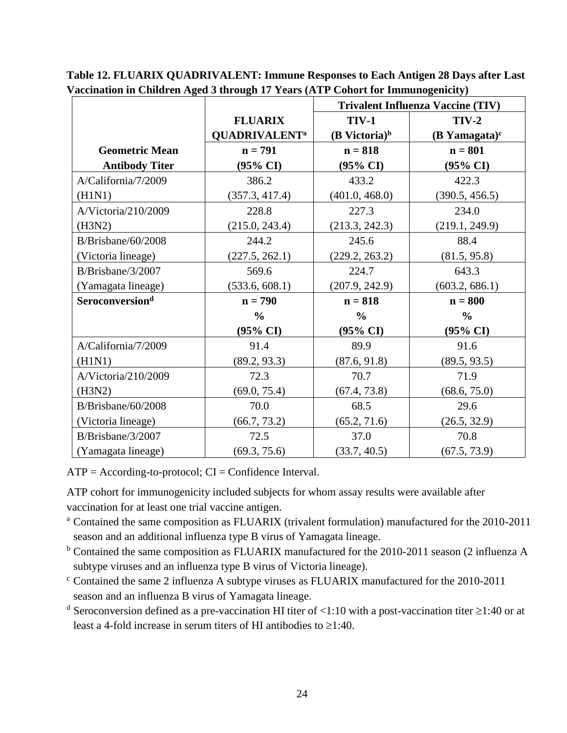|                             |                                 | <b>Trivalent Influenza Vaccine (TIV)</b> |                     |
|-----------------------------|---------------------------------|------------------------------------------|---------------------|
|                             | <b>FLUARIX</b>                  | <b>TIV-1</b>                             | $TIV-2$             |
|                             | <b>QUADRIVALENT<sup>a</sup></b> | $(B$ Victoria) <sup>b</sup>              | $(B$ Yamagata) $c$  |
| <b>Geometric Mean</b>       | $n = 791$                       | $n = 818$                                | $n = 801$           |
| <b>Antibody Titer</b>       | $(95\% \text{ CI})$             | $(95\% \text{ CI})$                      | $(95\% \text{ CI})$ |
| A/California/7/2009         | 386.2                           | 433.2                                    | 422.3               |
| (H1N1)                      | (357.3, 417.4)                  | (401.0, 468.0)                           | (390.5, 456.5)      |
| A/Victoria/210/2009         | 228.8                           | 227.3                                    | 234.0               |
| (H3N2)                      | (215.0, 243.4)                  | (213.3, 242.3)                           | (219.1, 249.9)      |
| B/Brisbane/60/2008          | 244.2                           | 245.6                                    | 88.4                |
| (Victoria lineage)          | (227.5, 262.1)                  | (229.2, 263.2)                           | (81.5, 95.8)        |
| B/Brisbane/3/2007           | 569.6                           | 224.7                                    | 643.3               |
| (Yamagata lineage)          | (533.6, 608.1)                  | (207.9, 242.9)                           | (603.2, 686.1)      |
| Seroconversion <sup>d</sup> | $n = 790$                       | $n = 818$                                | $n = 800$           |
|                             | $\frac{6}{6}$                   | $\frac{0}{0}$                            | $\frac{6}{6}$       |
|                             | $(95\% \text{ CI})$             | $(95\% \text{ CI})$                      | $(95\% \text{ CI})$ |
| A/California/7/2009         | 91.4                            | 89.9                                     | 91.6                |
| (H1N1)                      | (89.2, 93.3)                    | (87.6, 91.8)                             | (89.5, 93.5)        |
| A/Victoria/210/2009         | 72.3                            | 70.7                                     | 71.9                |
| (H3N2)                      | (69.0, 75.4)                    | (67.4, 73.8)                             | (68.6, 75.0)        |
| B/Brisbane/60/2008          | 70.0                            | 68.5                                     | 29.6                |
| (Victoria lineage)          | (66.7, 73.2)                    | (65.2, 71.6)                             | (26.5, 32.9)        |
| B/Brisbane/3/2007           | 72.5                            | 37.0                                     | 70.8                |
| (Yamagata lineage)          | (69.3, 75.6)                    | (33.7, 40.5)                             | (67.5, 73.9)        |

**Table 12. FLUARIX QUADRIVALENT: Immune Responses to Each Antigen 28 Days after Last Vaccination in Children Aged 3 through 17 Years (ATP Cohort for Immunogenicity)**

 $ATP = According-to-protocol; CI = Confidence Interval.$ 

ATP cohort for immunogenicity included subjects for whom assay results were available after vaccination for at least one trial vaccine antigen.

- <sup>a</sup> Contained the same composition as FLUARIX (trivalent formulation) manufactured for the 2010-2011 season and an additional influenza type B virus of Yamagata lineage.
- <sup>b</sup> Contained the same composition as FLUARIX manufactured for the 2010-2011 season (2 influenza A subtype viruses and an influenza type B virus of Victoria lineage).
- <sup>c</sup> Contained the same 2 influenza A subtype viruses as FLUARIX manufactured for the 2010-2011 season and an influenza B virus of Yamagata lineage.
- <sup>d</sup> Seroconversion defined as a pre-vaccination HI titer of <1:10 with a post-vaccination titer  $\geq$ 1:40 or at least a 4-fold increase in serum titers of HI antibodies to  $\geq$ 1:40.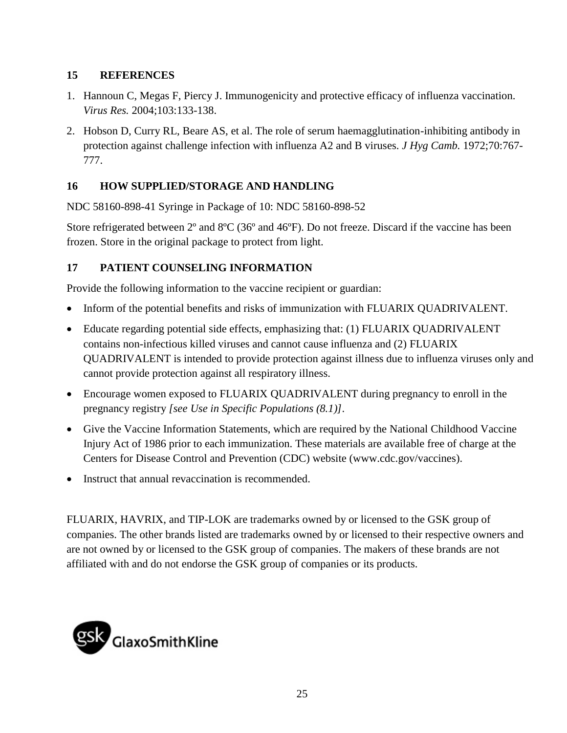#### **15 REFERENCES**

- 1. Hannoun C, Megas F, Piercy J. Immunogenicity and protective efficacy of influenza vaccination. *Virus Res.* 2004;103:133-138.
- 2. Hobson D, Curry RL, Beare AS, et al. The role of serum haemagglutination-inhibiting antibody in protection against challenge infection with influenza A2 and B viruses. *J Hyg Camb.* 1972;70:767- 777.

### **16 HOW SUPPLIED/STORAGE AND HANDLING**

NDC 58160-898-41 Syringe in Package of 10: NDC 58160-898-52

Store refrigerated between 2º and 8ºC (36º and 46ºF). Do not freeze. Discard if the vaccine has been frozen. Store in the original package to protect from light.

### **17 PATIENT COUNSELING INFORMATION**

Provide the following information to the vaccine recipient or guardian:

- Inform of the potential benefits and risks of immunization with FLUARIX QUADRIVALENT.
- Educate regarding potential side effects, emphasizing that: (1) FLUARIX QUADRIVALENT contains non-infectious killed viruses and cannot cause influenza and (2) FLUARIX QUADRIVALENT is intended to provide protection against illness due to influenza viruses only and cannot provide protection against all respiratory illness.
- Encourage women exposed to FLUARIX QUADRIVALENT during pregnancy to enroll in the pregnancy registry *[see Use in Specific Populations (8.1)]*.
- Give the Vaccine Information Statements, which are required by the National Childhood Vaccine Injury Act of 1986 prior to each immunization. These materials are available free of charge at the Centers for Disease Control and Prevention (CDC) website (www.cdc.gov/vaccines).
- Instruct that annual revaccination is recommended.

FLUARIX, HAVRIX, and TIP-LOK are trademarks owned by or licensed to the GSK group of companies. The other brands listed are trademarks owned by or licensed to their respective owners and are not owned by or licensed to the GSK group of companies. The makers of these brands are not affiliated with and do not endorse the GSK group of companies or its products.